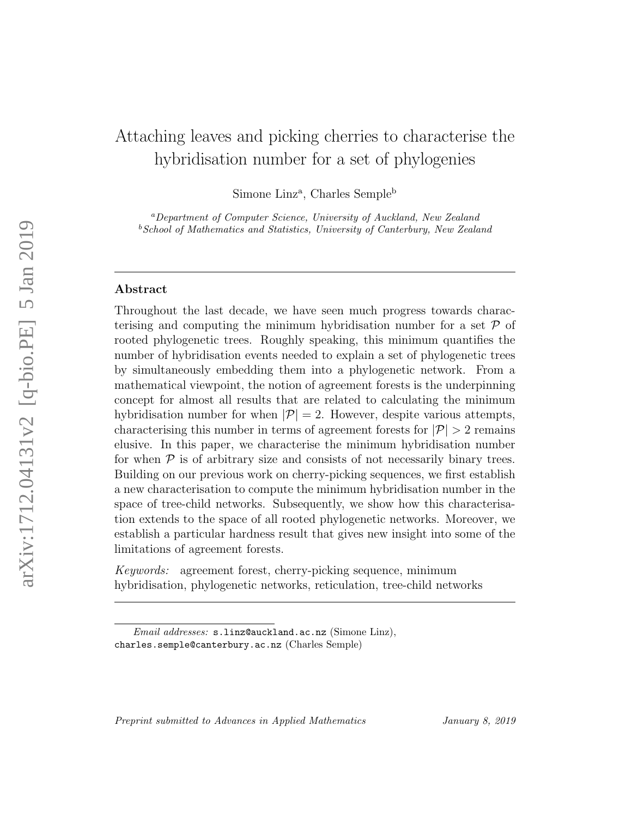# Attaching leaves and picking cherries to characterise the hybridisation number for a set of phylogenies

Simone Linz<sup>a</sup>, Charles Semple<sup>b</sup>

<sup>a</sup>Department of Computer Science, University of Auckland, New Zealand  $b$  School of Mathematics and Statistics, University of Canterbury, New Zealand

# Abstract

Throughout the last decade, we have seen much progress towards characterising and computing the minimum hybridisation number for a set  $\mathcal P$  of rooted phylogenetic trees. Roughly speaking, this minimum quantifies the number of hybridisation events needed to explain a set of phylogenetic trees by simultaneously embedding them into a phylogenetic network. From a mathematical viewpoint, the notion of agreement forests is the underpinning concept for almost all results that are related to calculating the minimum hybridisation number for when  $|\mathcal{P}| = 2$ . However, despite various attempts, characterising this number in terms of agreement forests for  $|\mathcal{P}| > 2$  remains elusive. In this paper, we characterise the minimum hybridisation number for when  $P$  is of arbitrary size and consists of not necessarily binary trees. Building on our previous work on cherry-picking sequences, we first establish a new characterisation to compute the minimum hybridisation number in the space of tree-child networks. Subsequently, we show how this characterisation extends to the space of all rooted phylogenetic networks. Moreover, we establish a particular hardness result that gives new insight into some of the limitations of agreement forests.

Keywords: agreement forest, cherry-picking sequence, minimum hybridisation, phylogenetic networks, reticulation, tree-child networks

Email addresses: s.linz@auckland.ac.nz (Simone Linz), charles.semple@canterbury.ac.nz (Charles Semple)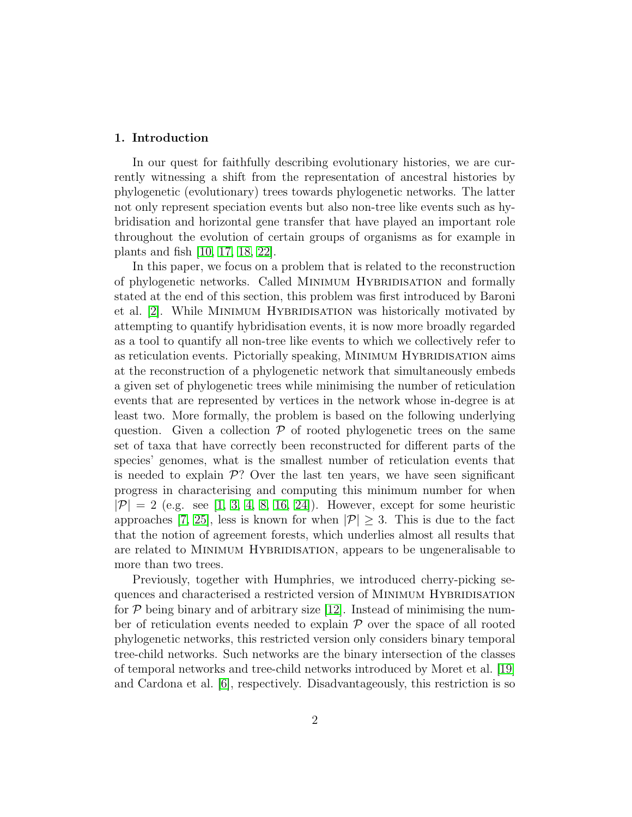#### 1. Introduction

In our quest for faithfully describing evolutionary histories, we are currently witnessing a shift from the representation of ancestral histories by phylogenetic (evolutionary) trees towards phylogenetic networks. The latter not only represent speciation events but also non-tree like events such as hybridisation and horizontal gene transfer that have played an important role throughout the evolution of certain groups of organisms as for example in plants and fish [\[10,](#page-32-0) [17,](#page-33-0) [18,](#page-33-1) [22\]](#page-34-0).

In this paper, we focus on a problem that is related to the reconstruction of phylogenetic networks. Called Minimum Hybridisation and formally stated at the end of this section, this problem was first introduced by Baroni et al. [\[2\]](#page-32-1). While MINIMUM HYBRIDISATION was historically motivated by attempting to quantify hybridisation events, it is now more broadly regarded as a tool to quantify all non-tree like events to which we collectively refer to as reticulation events. Pictorially speaking, MINIMUM HYBRIDISATION aims at the reconstruction of a phylogenetic network that simultaneously embeds a given set of phylogenetic trees while minimising the number of reticulation events that are represented by vertices in the network whose in-degree is at least two. More formally, the problem is based on the following underlying question. Given a collection  $P$  of rooted phylogenetic trees on the same set of taxa that have correctly been reconstructed for different parts of the species' genomes, what is the smallest number of reticulation events that is needed to explain  $\mathcal{P}$ ? Over the last ten years, we have seen significant progress in characterising and computing this minimum number for when  $|\mathcal{P}| = 2$  (e.g. see [\[1,](#page-32-2) [3,](#page-32-3) [4,](#page-32-4) [8,](#page-32-5) [16,](#page-33-2) [24\]](#page-34-1)). However, except for some heuristic approaches [\[7,](#page-32-6) [25\]](#page-34-2), less is known for when  $|\mathcal{P}| \geq 3$ . This is due to the fact that the notion of agreement forests, which underlies almost all results that are related to Minimum Hybridisation, appears to be ungeneralisable to more than two trees.

Previously, together with Humphries, we introduced cherry-picking sequences and characterised a restricted version of MINIMUM HYBRIDISATION for  $P$  being binary and of arbitrary size [\[12\]](#page-33-3). Instead of minimising the number of reticulation events needed to explain  $P$  over the space of all rooted phylogenetic networks, this restricted version only considers binary temporal tree-child networks. Such networks are the binary intersection of the classes of temporal networks and tree-child networks introduced by Moret et al. [\[19\]](#page-33-4) and Cardona et al. [\[6\]](#page-32-7), respectively. Disadvantageously, this restriction is so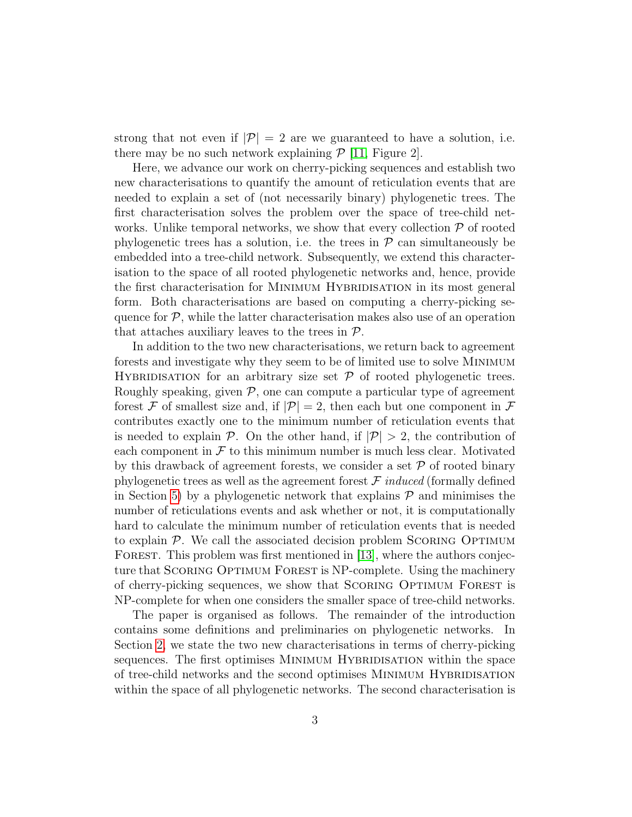strong that not even if  $|\mathcal{P}| = 2$  are we guaranteed to have a solution, i.e. there may be no such network explaining  $\mathcal{P}$  [\[11,](#page-33-5) Figure 2].

Here, we advance our work on cherry-picking sequences and establish two new characterisations to quantify the amount of reticulation events that are needed to explain a set of (not necessarily binary) phylogenetic trees. The first characterisation solves the problem over the space of tree-child networks. Unlike temporal networks, we show that every collection  $P$  of rooted phylogenetic trees has a solution, i.e. the trees in  $P$  can simultaneously be embedded into a tree-child network. Subsequently, we extend this characterisation to the space of all rooted phylogenetic networks and, hence, provide the first characterisation for MINIMUM HYBRIDISATION in its most general form. Both characterisations are based on computing a cherry-picking sequence for  $P$ , while the latter characterisation makes also use of an operation that attaches auxiliary leaves to the trees in  $\mathcal{P}$ .

In addition to the two new characterisations, we return back to agreement forests and investigate why they seem to be of limited use to solve Minimum HYBRIDISATION for an arbitrary size set  $P$  of rooted phylogenetic trees. Roughly speaking, given  $P$ , one can compute a particular type of agreement forest F of smallest size and, if  $|\mathcal{P}| = 2$ , then each but one component in F contributes exactly one to the minimum number of reticulation events that is needed to explain  $\mathcal{P}$ . On the other hand, if  $|\mathcal{P}| > 2$ , the contribution of each component in  $\mathcal F$  to this minimum number is much less clear. Motivated by this drawback of agreement forests, we consider a set  $P$  of rooted binary phylogenetic trees as well as the agreement forest  $\mathcal F$  induced (formally defined in Section [5\)](#page-22-0) by a phylogenetic network that explains  $\mathcal P$  and minimises the number of reticulations events and ask whether or not, it is computationally hard to calculate the minimum number of reticulation events that is needed to explain  $\mathcal{P}$ . We call the associated decision problem SCORING OPTIMUM FOREST. This problem was first mentioned in [\[13\]](#page-33-6), where the authors conjecture that SCORING OPTIMUM FOREST is NP-complete. Using the machinery of cherry-picking sequences, we show that SCORING OPTIMUM FOREST is NP-complete for when one considers the smaller space of tree-child networks.

The paper is organised as follows. The remainder of the introduction contains some definitions and preliminaries on phylogenetic networks. In Section [2,](#page-7-0) we state the two new characterisations in terms of cherry-picking sequences. The first optimises MINIMUM HYBRIDISATION within the space of tree-child networks and the second optimises Minimum Hybridisation within the space of all phylogenetic networks. The second characterisation is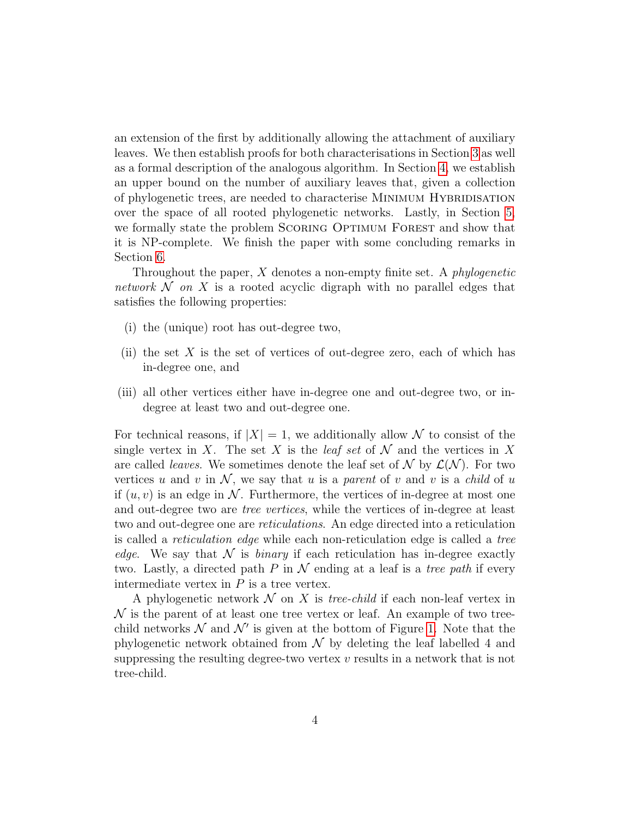an extension of the first by additionally allowing the attachment of auxiliary leaves. We then establish proofs for both characterisations in Section [3](#page-11-0) as well as a formal description of the analogous algorithm. In Section [4,](#page-19-0) we establish an upper bound on the number of auxiliary leaves that, given a collection of phylogenetic trees, are needed to characterise Minimum Hybridisation over the space of all rooted phylogenetic networks. Lastly, in Section [5,](#page-22-0) we formally state the problem SCORING OPTIMUM FOREST and show that it is NP-complete. We finish the paper with some concluding remarks in Section [6.](#page-30-0)

Throughout the paper,  $X$  denotes a non-empty finite set. A *phylogenetic* network  $\mathcal N$  on  $X$  is a rooted acyclic digraph with no parallel edges that satisfies the following properties:

- (i) the (unique) root has out-degree two,
- (ii) the set X is the set of vertices of out-degree zero, each of which has in-degree one, and
- (iii) all other vertices either have in-degree one and out-degree two, or indegree at least two and out-degree one.

For technical reasons, if  $|X| = 1$ , we additionally allow N to consist of the single vertex in X. The set X is the *leaf set* of  $\mathcal N$  and the vertices in X are called *leaves*. We sometimes denote the leaf set of  $\mathcal N$  by  $\mathcal L(\mathcal N)$ . For two vertices u and v in  $\mathcal{N}$ , we say that u is a parent of v and v is a child of u if  $(u, v)$  is an edge in N. Furthermore, the vertices of in-degree at most one and out-degree two are tree vertices, while the vertices of in-degree at least two and out-degree one are reticulations. An edge directed into a reticulation is called a reticulation edge while each non-reticulation edge is called a tree edge. We say that  $\mathcal N$  is binary if each reticulation has in-degree exactly two. Lastly, a directed path P in  $\mathcal N$  ending at a leaf is a tree path if every intermediate vertex in  $P$  is a tree vertex.

A phylogenetic network  $\mathcal N$  on X is *tree-child* if each non-leaf vertex in  $\mathcal N$  is the parent of at least one tree vertex or leaf. An example of two treechild networks  $\mathcal N$  and  $\mathcal N'$  is given at the bottom of Figure [1.](#page-5-0) Note that the phylogenetic network obtained from  $\mathcal N$  by deleting the leaf labelled 4 and suppressing the resulting degree-two vertex  $v$  results in a network that is not tree-child.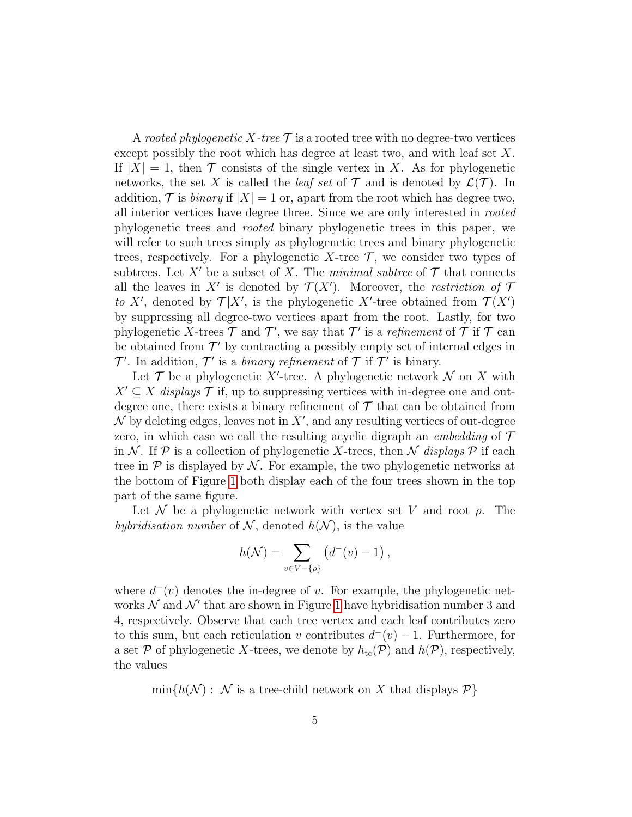A rooted phylogenetic X-tree  $\mathcal T$  is a rooted tree with no degree-two vertices except possibly the root which has degree at least two, and with leaf set X. If  $|X| = 1$ , then  $\mathcal T$  consists of the single vertex in X. As for phylogenetic networks, the set X is called the *leaf set* of  $\mathcal T$  and is denoted by  $\mathcal L(\mathcal T)$ . In addition,  $\mathcal T$  is *binary* if  $|X| = 1$  or, apart from the root which has degree two, all interior vertices have degree three. Since we are only interested in rooted phylogenetic trees and rooted binary phylogenetic trees in this paper, we will refer to such trees simply as phylogenetic trees and binary phylogenetic trees, respectively. For a phylogenetic X-tree  $\mathcal T$ , we consider two types of subtrees. Let X' be a subset of X. The minimal subtree of  $\mathcal T$  that connects all the leaves in X' is denoted by  $\mathcal{T}(X')$ . Moreover, the restriction of T to X', denoted by  $\mathcal{T}|X'$ , is the phylogenetic X'-tree obtained from  $\mathcal{T}(X')$ by suppressing all degree-two vertices apart from the root. Lastly, for two phylogenetic X-trees  $\mathcal T$  and  $\mathcal T'$ , we say that  $\mathcal T'$  is a refinement of  $\mathcal T$  if  $\mathcal T$  can be obtained from  $\mathcal{T}'$  by contracting a possibly empty set of internal edges in  $\mathcal{T}'$ . In addition,  $\mathcal{T}'$  is a *binary refinement* of  $\mathcal{T}$  if  $\mathcal{T}'$  is binary.

Let  $\mathcal T$  be a phylogenetic X'-tree. A phylogenetic network  $\mathcal N$  on X with  $X' \subseteq X$  displays T if, up to suppressing vertices with in-degree one and outdegree one, there exists a binary refinement of  $\mathcal T$  that can be obtained from  $\mathcal N$  by deleting edges, leaves not in  $X'$ , and any resulting vertices of out-degree zero, in which case we call the resulting acyclic digraph an *embedding* of  $\mathcal T$ in N. If P is a collection of phylogenetic X-trees, then N displays P if each tree in  $\mathcal P$  is displayed by  $\mathcal N$ . For example, the two phylogenetic networks at the bottom of Figure [1](#page-5-0) both display each of the four trees shown in the top part of the same figure.

Let N be a phylogenetic network with vertex set V and root  $\rho$ . The hybridisation number of N, denoted  $h(\mathcal{N})$ , is the value

$$
h(\mathcal{N}) = \sum_{v \in V - \{\rho\}} \left( d^-(v) - 1 \right),
$$

where  $d^-(v)$  denotes the in-degree of v. For example, the phylogenetic networks  $\mathcal N$  and  $\mathcal N'$  that are shown in Figure [1](#page-5-0) have hybridisation number 3 and 4, respectively. Observe that each tree vertex and each leaf contributes zero to this sum, but each reticulation v contributes  $d^-(v) - 1$ . Furthermore, for a set P of phylogenetic X-trees, we denote by  $h_{tc}(\mathcal{P})$  and  $h(\mathcal{P})$ , respectively, the values

 $\min\{h(\mathcal{N}) : \mathcal{N} \text{ is a tree-child network on } X \text{ that displays } \mathcal{P}\}\$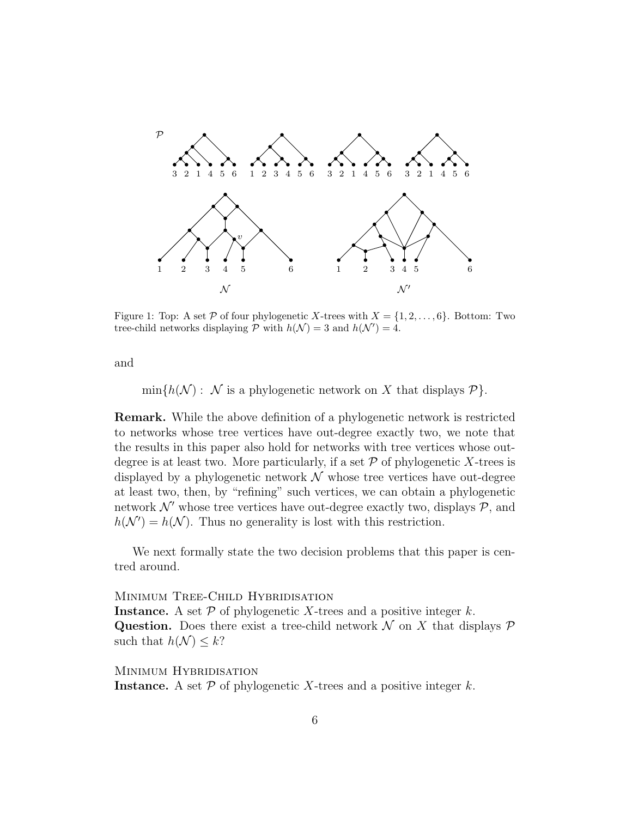

<span id="page-5-0"></span>Figure 1: Top: A set P of four phylogenetic X-trees with  $X = \{1, 2, \ldots, 6\}$ . Bottom: Two tree-child networks displaying  $P$  with  $h(\mathcal{N}) = 3$  and  $h(\mathcal{N}') = 4$ .

and

 $\min\{h(\mathcal{N}) : \mathcal{N}$  is a phylogenetic network on X that displays  $\mathcal{P}\}.$ 

Remark. While the above definition of a phylogenetic network is restricted to networks whose tree vertices have out-degree exactly two, we note that the results in this paper also hold for networks with tree vertices whose outdegree is at least two. More particularly, if a set  $P$  of phylogenetic X-trees is displayed by a phylogenetic network  $\mathcal N$  whose tree vertices have out-degree at least two, then, by "refining" such vertices, we can obtain a phylogenetic network  $\mathcal{N}'$  whose tree vertices have out-degree exactly two, displays  $\mathcal{P}$ , and  $h(\mathcal{N}') = h(\mathcal{N})$ . Thus no generality is lost with this restriction.

We next formally state the two decision problems that this paper is centred around.

MINIMUM TREE-CHILD HYBRIDISATION

**Instance.** A set  $P$  of phylogenetic X-trees and a positive integer k. Question. Does there exist a tree-child network  $\mathcal N$  on X that displays  $\mathcal P$ such that  $h(\mathcal{N}) \leq k$ ?

Minimum Hybridisation

**Instance.** A set  $P$  of phylogenetic X-trees and a positive integer  $k$ .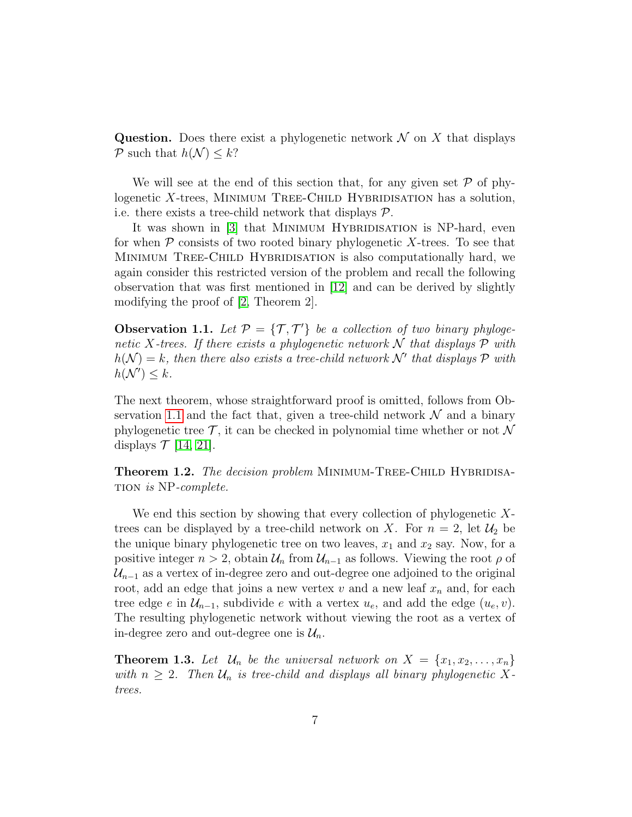Question. Does there exist a phylogenetic network  $\mathcal N$  on X that displays P such that  $h(\mathcal{N}) \leq k$ ?

We will see at the end of this section that, for any given set  $P$  of phylogenetic  $X$ -trees, MINIMUM TREE-CHILD HYBRIDISATION has a solution, i.e. there exists a tree-child network that displays  $P$ .

It was shown in [\[3\]](#page-32-3) that MINIMUM HYBRIDISATION is NP-hard, even for when  $P$  consists of two rooted binary phylogenetic X-trees. To see that Minimum Tree-Child Hybridisation is also computationally hard, we again consider this restricted version of the problem and recall the following observation that was first mentioned in [\[12\]](#page-33-3) and can be derived by slightly modifying the proof of [\[2,](#page-32-1) Theorem 2].

<span id="page-6-0"></span>**Observation 1.1.** Let  $\mathcal{P} = \{\mathcal{T}, \mathcal{T}'\}$  be a collection of two binary phylogenetic X-trees. If there exists a phylogenetic network  $\mathcal N$  that displays  $\mathcal P$  with  $h(\mathcal{N}) = k$ , then there also exists a tree-child network  $\mathcal{N}'$  that displays  $\mathcal P$  with  $h(\mathcal{N}') \leq k$ .

The next theorem, whose straightforward proof is omitted, follows from Ob-servation [1.1](#page-6-0) and the fact that, given a tree-child network  $\mathcal N$  and a binary phylogenetic tree  $\mathcal{T}$ , it can be checked in polynomial time whether or not  $\mathcal N$ displays  $\mathcal{T}$  [\[14,](#page-33-7) [21\]](#page-34-3).

Theorem 1.2. The decision problem MINIMUM-TREE-CHILD HYBRIDISAtion is NP-complete.

We end this section by showing that every collection of phylogenetic Xtrees can be displayed by a tree-child network on X. For  $n = 2$ , let  $\mathcal{U}_2$  be the unique binary phylogenetic tree on two leaves,  $x_1$  and  $x_2$  say. Now, for a positive integer  $n > 2$ , obtain  $\mathcal{U}_n$  from  $\mathcal{U}_{n-1}$  as follows. Viewing the root  $\rho$  of  $\mathcal{U}_{n-1}$  as a vertex of in-degree zero and out-degree one adjoined to the original root, add an edge that joins a new vertex  $v$  and a new leaf  $x_n$  and, for each tree edge e in  $\mathcal{U}_{n-1}$ , subdivide e with a vertex  $u_e$ , and add the edge  $(u_e, v)$ . The resulting phylogenetic network without viewing the root as a vertex of in-degree zero and out-degree one is  $\mathcal{U}_n$ .

<span id="page-6-1"></span>**Theorem 1.3.** Let  $\mathcal{U}_n$  be the universal network on  $X = \{x_1, x_2, \ldots, x_n\}$ with  $n \geq 2$ . Then  $\mathcal{U}_n$  is tree-child and displays all binary phylogenetic Xtrees.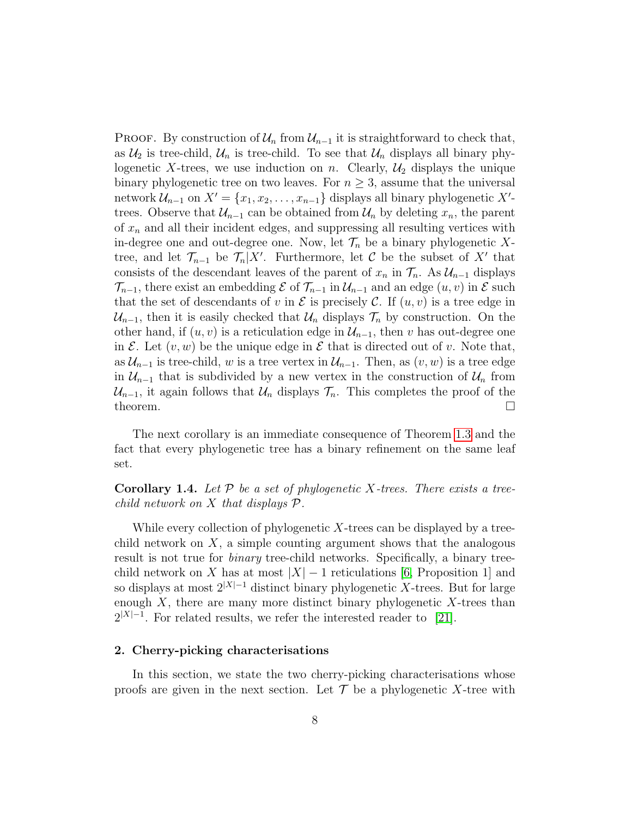PROOF. By construction of  $\mathcal{U}_n$  from  $\mathcal{U}_{n-1}$  it is straightforward to check that, as  $\mathcal{U}_2$  is tree-child,  $\mathcal{U}_n$  is tree-child. To see that  $\mathcal{U}_n$  displays all binary phylogenetic X-trees, we use induction on n. Clearly,  $\mathcal{U}_2$  displays the unique binary phylogenetic tree on two leaves. For  $n \geq 3$ , assume that the universal network  $\mathcal{U}_{n-1}$  on  $X' = \{x_1, x_2, \ldots, x_{n-1}\}\$ displays all binary phylogenetic X'trees. Observe that  $\mathcal{U}_{n-1}$  can be obtained from  $\mathcal{U}_n$  by deleting  $x_n$ , the parent of  $x_n$  and all their incident edges, and suppressing all resulting vertices with in-degree one and out-degree one. Now, let  $\mathcal{T}_n$  be a binary phylogenetic Xtree, and let  $\mathcal{T}_{n-1}$  be  $\mathcal{T}_n|X'$ . Furthermore, let C be the subset of X' that consists of the descendant leaves of the parent of  $x_n$  in  $\mathcal{T}_n$ . As  $\mathcal{U}_{n-1}$  displays  $\mathcal{T}_{n-1}$ , there exist an embedding  $\mathcal E$  of  $\mathcal{T}_{n-1}$  in  $\mathcal{U}_{n-1}$  and an edge  $(u, v)$  in  $\mathcal E$  such that the set of descendants of v in  $\mathcal E$  is precisely  $\mathcal C$ . If  $(u, v)$  is a tree edge in  $\mathcal{U}_{n-1}$ , then it is easily checked that  $\mathcal{U}_n$  displays  $\mathcal{T}_n$  by construction. On the other hand, if  $(u, v)$  is a reticulation edge in  $\mathcal{U}_{n-1}$ , then v has out-degree one in E. Let  $(v, w)$  be the unique edge in E that is directed out of v. Note that, as  $\mathcal{U}_{n-1}$  is tree-child, w is a tree vertex in  $\mathcal{U}_{n-1}$ . Then, as  $(v, w)$  is a tree edge in  $\mathcal{U}_{n-1}$  that is subdivided by a new vertex in the construction of  $\mathcal{U}_n$  from  $\mathcal{U}_{n-1}$ , it again follows that  $\mathcal{U}_n$  displays  $\mathcal{T}_n$ . This completes the proof of the theorem.  $\Box$ 

<span id="page-7-1"></span>The next corollary is an immediate consequence of Theorem [1.3](#page-6-1) and the fact that every phylogenetic tree has a binary refinement on the same leaf set.

**Corollary 1.4.** Let  $\mathcal{P}$  be a set of phylogenetic X-trees. There exists a treechild network on  $X$  that displays  $\mathcal{P}$ .

While every collection of phylogenetic  $X$ -trees can be displayed by a treechild network on  $X$ , a simple counting argument shows that the analogous result is not true for binary tree-child networks. Specifically, a binary treechild network on X has at most  $|X| - 1$  reticulations [\[6,](#page-32-7) Proposition 1] and so displays at most  $2^{|X|-1}$  distinct binary phylogenetic X-trees. But for large enough  $X$ , there are many more distinct binary phylogenetic  $X$ -trees than  $2^{|X|-1}$ . For related results, we refer the interested reader to [\[21\]](#page-34-3).

#### <span id="page-7-0"></span>2. Cherry-picking characterisations

In this section, we state the two cherry-picking characterisations whose proofs are given in the next section. Let  $\mathcal T$  be a phylogenetic X-tree with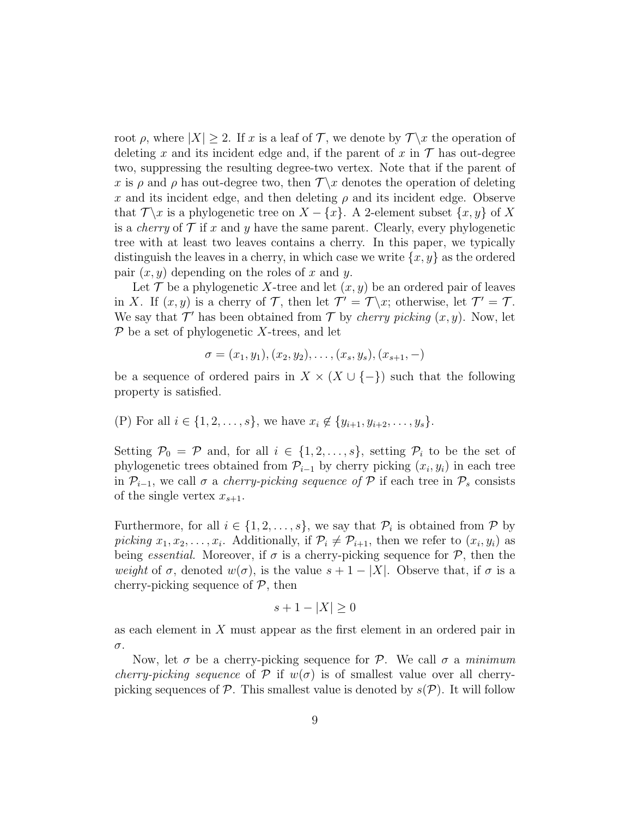root  $\rho$ , where  $|X| \geq 2$ . If x is a leaf of T, we denote by  $\mathcal{T}\backslash x$  the operation of deleting x and its incident edge and, if the parent of x in  $\mathcal T$  has out-degree two, suppressing the resulting degree-two vertex. Note that if the parent of x is  $\rho$  and  $\rho$  has out-degree two, then  $\mathcal{T}\backslash x$  denotes the operation of deleting x and its incident edge, and then deleting  $\rho$  and its incident edge. Observe that  $\mathcal{T}\backslash x$  is a phylogenetic tree on  $X - \{x\}$ . A 2-element subset  $\{x, y\}$  of X is a *cherry* of  $\mathcal T$  if x and y have the same parent. Clearly, every phylogenetic tree with at least two leaves contains a cherry. In this paper, we typically distinguish the leaves in a cherry, in which case we write  $\{x, y\}$  as the ordered pair  $(x, y)$  depending on the roles of x and y.

Let  $\mathcal T$  be a phylogenetic X-tree and let  $(x, y)$  be an ordered pair of leaves in X. If  $(x, y)$  is a cherry of T, then let  $\mathcal{T}' = \mathcal{T} \setminus x$ ; otherwise, let  $\mathcal{T}' = \mathcal{T}$ . We say that  $\mathcal{T}'$  has been obtained from  $\mathcal{T}$  by *cherry picking*  $(x, y)$ . Now, let  $\mathcal P$  be a set of phylogenetic X-trees, and let

$$
\sigma = (x_1, y_1), (x_2, y_2), \dots, (x_s, y_s), (x_{s+1}, -)
$$

be a sequence of ordered pairs in  $X \times (X \cup \{-\})$  such that the following property is satisfied.

(P) For all 
$$
i \in \{1, 2, ..., s\}
$$
, we have  $x_i \notin \{y_{i+1}, y_{i+2}, ..., y_s\}$ .

Setting  $P_0 = \mathcal{P}$  and, for all  $i \in \{1, 2, ..., s\}$ , setting  $\mathcal{P}_i$  to be the set of phylogenetic trees obtained from  $\mathcal{P}_{i-1}$  by cherry picking  $(x_i, y_i)$  in each tree in  $\mathcal{P}_{i-1}$ , we call  $\sigma$  a *cherry-picking sequence of*  $\mathcal P$  if each tree in  $\mathcal P_s$  consists of the single vertex  $x_{s+1}$ .

Furthermore, for all  $i \in \{1, 2, ..., s\}$ , we say that  $\mathcal{P}_i$  is obtained from  $\mathcal{P}$  by picking  $x_1, x_2, \ldots, x_i$ . Additionally, if  $\mathcal{P}_i \neq \mathcal{P}_{i+1}$ , then we refer to  $(x_i, y_i)$  as being *essential*. Moreover, if  $\sigma$  is a cherry-picking sequence for  $\mathcal{P}$ , then the weight of  $\sigma$ , denoted  $w(\sigma)$ , is the value  $s + 1 - |X|$ . Observe that, if  $\sigma$  is a cherry-picking sequence of  $P$ , then

$$
s + 1 - |X| \ge 0
$$

as each element in X must appear as the first element in an ordered pair in σ.

Now, let  $\sigma$  be a cherry-picking sequence for P. We call  $\sigma$  a minimum *cherry-picking sequence* of P if  $w(\sigma)$  is of smallest value over all cherrypicking sequences of  $\mathcal P$ . This smallest value is denoted by  $s(\mathcal P)$ . It will follow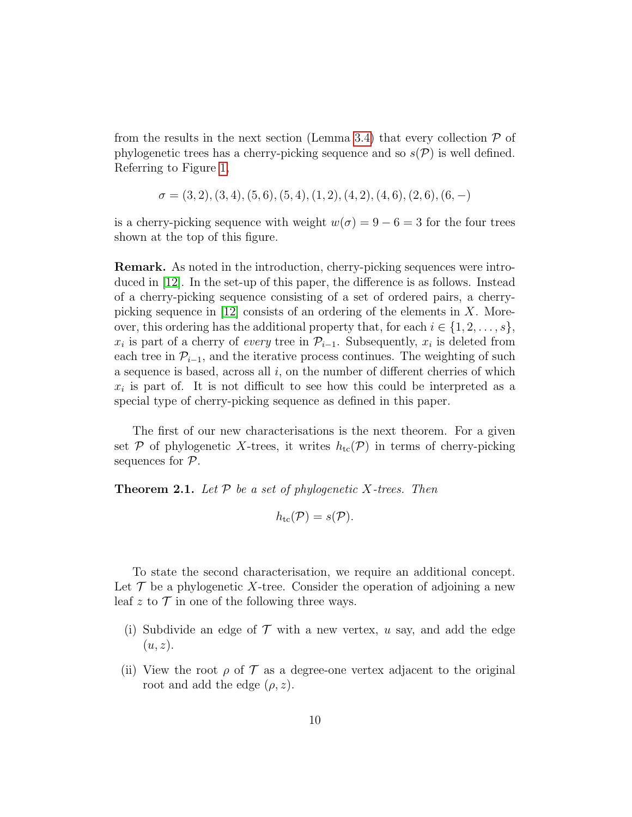from the results in the next section (Lemma [3.4\)](#page-14-0) that every collection  $\mathcal P$  of phylogenetic trees has a cherry-picking sequence and so  $s(\mathcal{P})$  is well defined. Referring to Figure [1,](#page-5-0)

$$
\sigma = (3, 2), (3, 4), (5, 6), (5, 4), (1, 2), (4, 2), (4, 6), (2, 6), (6, -)
$$

is a cherry-picking sequence with weight  $w(\sigma) = 9 - 6 = 3$  for the four trees shown at the top of this figure.

Remark. As noted in the introduction, cherry-picking sequences were introduced in [\[12\]](#page-33-3). In the set-up of this paper, the difference is as follows. Instead of a cherry-picking sequence consisting of a set of ordered pairs, a cherrypicking sequence in  $[12]$  consists of an ordering of the elements in X. Moreover, this ordering has the additional property that, for each  $i \in \{1, 2, \ldots, s\}$ ,  $x_i$  is part of a cherry of *every* tree in  $\mathcal{P}_{i-1}$ . Subsequently,  $x_i$  is deleted from each tree in  $\mathcal{P}_{i-1}$ , and the iterative process continues. The weighting of such a sequence is based, across all  $i$ , on the number of different cherries of which  $x_i$  is part of. It is not difficult to see how this could be interpreted as a special type of cherry-picking sequence as defined in this paper.

The first of our new characterisations is the next theorem. For a given set P of phylogenetic X-trees, it writes  $h_{tc}(\mathcal{P})$  in terms of cherry-picking sequences for  $P$ .

<span id="page-9-0"></span>**Theorem 2.1.** Let  $P$  be a set of phylogenetic X-trees. Then

$$
h_{\rm tc}(\mathcal P)=s(\mathcal P).
$$

To state the second characterisation, we require an additional concept. Let  $\mathcal T$  be a phylogenetic X-tree. Consider the operation of adjoining a new leaf z to  $\mathcal T$  in one of the following three ways.

- (i) Subdivide an edge of  $\mathcal T$  with a new vertex, u say, and add the edge  $(u, z)$ .
- (ii) View the root  $\rho$  of  $\mathcal T$  as a degree-one vertex adjacent to the original root and add the edge  $(\rho, z)$ .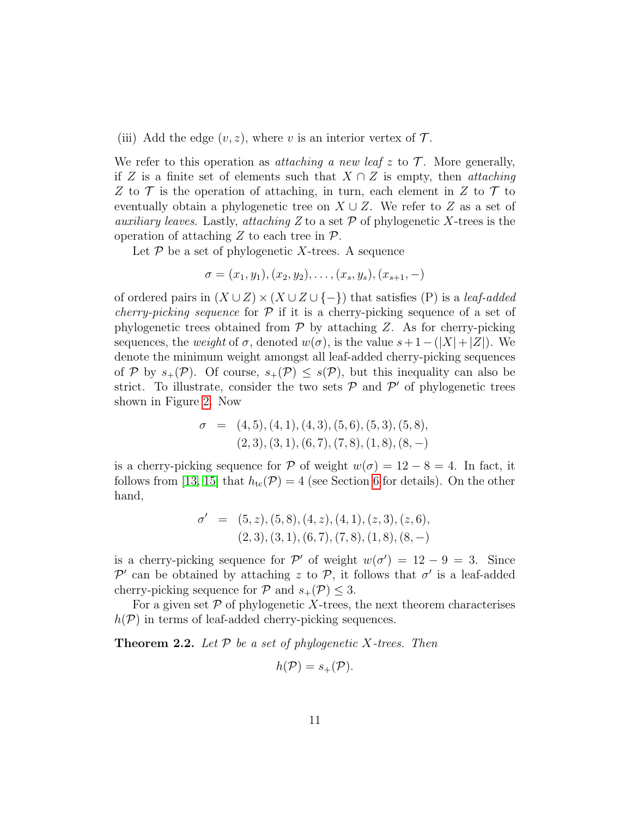(iii) Add the edge  $(v, z)$ , where v is an interior vertex of  $\mathcal{T}$ .

We refer to this operation as *attaching a new leaf*  $z$  to  $\mathcal{T}$ . More generally, if Z is a finite set of elements such that  $X \cap Z$  is empty, then *attaching* Z to  $\mathcal T$  is the operation of attaching, in turn, each element in Z to  $\mathcal T$  to eventually obtain a phylogenetic tree on  $X \cup Z$ . We refer to Z as a set of *auxiliary leaves.* Lastly, *attaching*  $Z$  to a set  $\mathcal P$  of phylogenetic  $X$ -trees is the operation of attaching Z to each tree in  $\mathcal{P}$ .

Let  $\mathcal P$  be a set of phylogenetic X-trees. A sequence

$$
\sigma = (x_1, y_1), (x_2, y_2), \dots, (x_s, y_s), (x_{s+1}, -)
$$

of ordered pairs in  $(X \cup Z) \times (X \cup Z \cup \{-\})$  that satisfies (P) is a *leaf-added cherry-picking sequence* for  $\mathcal P$  if it is a cherry-picking sequence of a set of phylogenetic trees obtained from  $P$  by attaching Z. As for cherry-picking sequences, the *weight* of  $\sigma$ , denoted  $w(\sigma)$ , is the value  $s+1-(|X|+|Z|)$ . We denote the minimum weight amongst all leaf-added cherry-picking sequences of P by  $s_+(\mathcal{P})$ . Of course,  $s_+(\mathcal{P}) \leq s(\mathcal{P})$ , but this inequality can also be strict. To illustrate, consider the two sets  $P$  and  $P'$  of phylogenetic trees shown in Figure [2.](#page-11-1) Now

$$
\sigma = (4,5), (4,1), (4,3), (5,6), (5,3), (5,8),(2,3), (3,1), (6,7), (7,8), (1,8), (8,-)
$$

is a cherry-picking sequence for  $\mathcal P$  of weight  $w(\sigma) = 12 - 8 = 4$ . In fact, it follows from [\[13,](#page-33-6) [15\]](#page-33-8) that  $h_{\text{tc}}(\mathcal{P}) = 4$  (see Section [6](#page-30-0) for details). On the other hand,

$$
\sigma' = (5, z), (5, 8), (4, z), (4, 1), (z, 3), (z, 6), (2, 3), (3, 1), (6, 7), (7, 8), (1, 8), (8, -)
$$

is a cherry-picking sequence for  $\mathcal{P}'$  of weight  $w(\sigma') = 12 - 9 = 3$ . Since  $\mathcal{P}'$  can be obtained by attaching z to  $\mathcal{P}$ , it follows that  $\sigma'$  is a leaf-added cherry-picking sequence for  $P$  and  $s_+(\mathcal{P}) \leq 3$ .

For a given set  $P$  of phylogenetic X-trees, the next theorem characterises  $h(\mathcal{P})$  in terms of leaf-added cherry-picking sequences.

<span id="page-10-0"></span>**Theorem 2.2.** Let  $P$  be a set of phylogenetic X-trees. Then

$$
h(\mathcal{P})=s_+(\mathcal{P}).
$$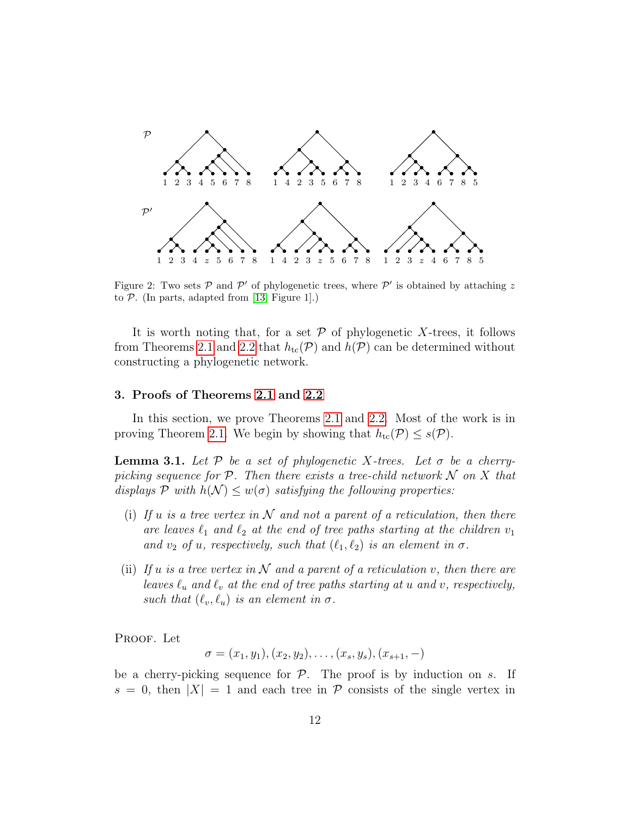

<span id="page-11-1"></span>Figure 2: Two sets  $P$  and  $P'$  of phylogenetic trees, where  $P'$  is obtained by attaching z to  $P$ . (In parts, adapted from [\[13,](#page-33-6) Figure 1].)

It is worth noting that, for a set  $P$  of phylogenetic X-trees, it follows from Theorems [2.1](#page-9-0) and [2.2](#page-10-0) that  $h_{tc}(\mathcal{P})$  and  $h(\mathcal{P})$  can be determined without constructing a phylogenetic network.

#### <span id="page-11-0"></span>3. Proofs of Theorems [2.1](#page-9-0) and [2.2](#page-10-0)

In this section, we prove Theorems [2.1](#page-9-0) and [2.2.](#page-10-0) Most of the work is in proving Theorem [2.1.](#page-9-0) We begin by showing that  $h_{\text{tc}}(\mathcal{P}) \leq s(\mathcal{P})$ .

**Lemma 3.1.** Let  $P$  be a set of phylogenetic X-trees. Let  $\sigma$  be a cherrypicking sequence for  $\mathcal P$ . Then there exists a tree-child network  $\mathcal N$  on  $X$  that displays P with  $h(\mathcal{N}) \leq w(\sigma)$  satisfying the following properties:

- (i) If u is a tree vertex in  $N$  and not a parent of a reticulation, then there are leaves  $\ell_1$  and  $\ell_2$  at the end of tree paths starting at the children  $v_1$ and  $v_2$  of u, respectively, such that  $(\ell_1, \ell_2)$  is an element in  $\sigma$ .
- <span id="page-11-2"></span>(ii) If u is a tree vertex in N and a parent of a reticulation v, then there are leaves  $\ell_u$  and  $\ell_v$  at the end of tree paths starting at u and v, respectively, such that  $(\ell_v, \ell_u)$  is an element in  $\sigma$ .

PROOF. Let

$$
\sigma = (x_1, y_1), (x_2, y_2), \dots, (x_s, y_s), (x_{s+1}, -)
$$

be a cherry-picking sequence for  $P$ . The proof is by induction on s. If  $s = 0$ , then  $|X| = 1$  and each tree in  $\mathcal P$  consists of the single vertex in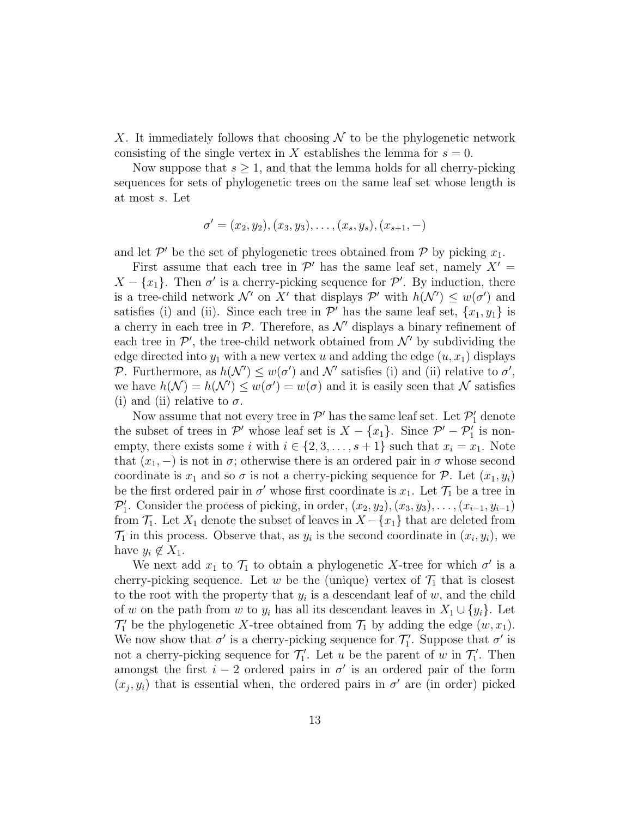X. It immediately follows that choosing  $\mathcal N$  to be the phylogenetic network consisting of the single vertex in X establishes the lemma for  $s = 0$ .

Now suppose that  $s \geq 1$ , and that the lemma holds for all cherry-picking sequences for sets of phylogenetic trees on the same leaf set whose length is at most s. Let

$$
\sigma' = (x_2, y_2), (x_3, y_3), \dots, (x_s, y_s), (x_{s+1}, -)
$$

and let  $\mathcal{P}'$  be the set of phylogenetic trees obtained from  $\mathcal P$  by picking  $x_1$ .

First assume that each tree in  $\mathcal{P}'$  has the same leaf set, namely  $X' =$  $X - \{x_1\}$ . Then  $\sigma'$  is a cherry-picking sequence for  $\mathcal{P}'$ . By induction, there is a tree-child network  $\mathcal{N}'$  on X' that displays  $\mathcal{P}'$  with  $h(\mathcal{N}') \leq w(\sigma')$  and satisfies (i) and (ii). Since each tree in  $\mathcal{P}'$  has the same leaf set,  $\{x_1, y_1\}$  is a cherry in each tree in  $P$ . Therefore, as  $\mathcal{N}'$  displays a binary refinement of each tree in  $\mathcal{P}'$ , the tree-child network obtained from  $\mathcal{N}'$  by subdividing the edge directed into  $y_1$  with a new vertex u and adding the edge  $(u, x_1)$  displays P. Furthermore, as  $h(\mathcal{N}') \leq w(\sigma')$  and  $\mathcal{N}'$  satisfies (i) and (ii) relative to  $\sigma'$ , we have  $h(\mathcal{N}) = h(\mathcal{N}') \leq w(\sigma') = w(\sigma)$  and it is easily seen that  $\mathcal N$  satisfies (i) and (ii) relative to  $\sigma$ .

Now assume that not every tree in  $\mathcal{P}'$  has the same leaf set. Let  $\mathcal{P}'_1$  denote the subset of trees in  $\mathcal{P}'$  whose leaf set is  $X - \{x_1\}$ . Since  $\mathcal{P}' - \mathcal{P}'_1$  is nonempty, there exists some i with  $i \in \{2, 3, \ldots, s+1\}$  such that  $x_i = x_1$ . Note that  $(x_1, -)$  is not in  $\sigma$ ; otherwise there is an ordered pair in  $\sigma$  whose second coordinate is  $x_1$  and so  $\sigma$  is not a cherry-picking sequence for P. Let  $(x_1, y_i)$ be the first ordered pair in  $\sigma'$  whose first coordinate is  $x_1$ . Let  $\mathcal{T}_1$  be a tree in  $\mathcal{P}'_1$ . Consider the process of picking, in order,  $(x_2, y_2), (x_3, y_3), \ldots, (x_{i-1}, y_{i-1})$ from  $\mathcal{T}_1$ . Let  $X_1$  denote the subset of leaves in  $X - \{x_1\}$  that are deleted from  $\mathcal{T}_1$  in this process. Observe that, as  $y_i$  is the second coordinate in  $(x_i, y_i)$ , we have  $y_i \notin X_1$ .

We next add  $x_1$  to  $\mathcal{T}_1$  to obtain a phylogenetic X-tree for which  $\sigma'$  is a cherry-picking sequence. Let w be the (unique) vertex of  $\mathcal{T}_1$  that is closest to the root with the property that  $y_i$  is a descendant leaf of  $w$ , and the child of w on the path from w to  $y_i$  has all its descendant leaves in  $X_1 \cup \{y_i\}$ . Let  $\mathcal{T}_1'$  be the phylogenetic X-tree obtained from  $\mathcal{T}_1$  by adding the edge  $(w, x_1)$ . We now show that  $\sigma'$  is a cherry-picking sequence for  $\mathcal{T}'_1$ . Suppose that  $\sigma'$  is not a cherry-picking sequence for  $\mathcal{T}'_1$ . Let u be the parent of w in  $\mathcal{T}'_1$ . Then amongst the first  $i - 2$  ordered pairs in  $\sigma'$  is an ordered pair of the form  $(x_j, y_i)$  that is essential when, the ordered pairs in  $\sigma'$  are (in order) picked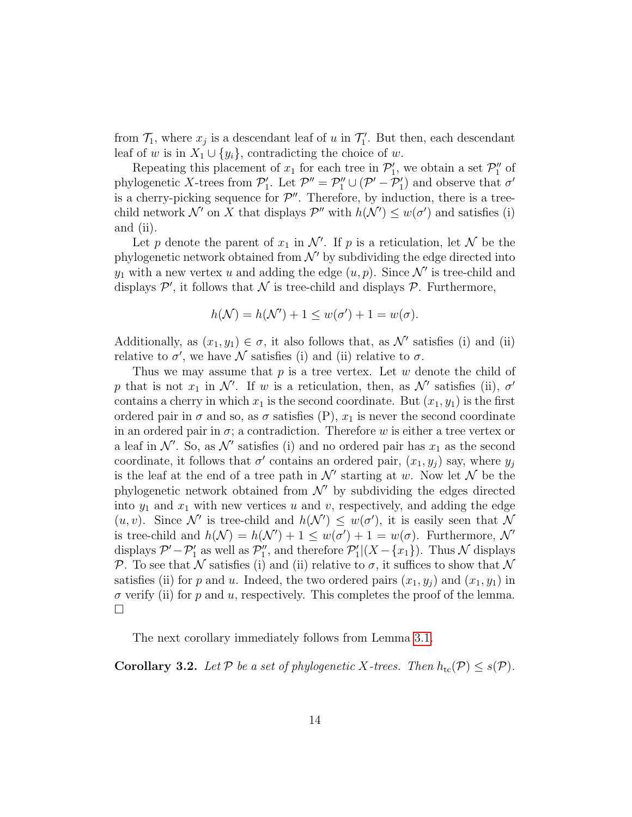from  $\mathcal{T}_1$ , where  $x_j$  is a descendant leaf of u in  $\mathcal{T}'_1$ . But then, each descendant leaf of w is in  $X_1 \cup \{y_i\}$ , contradicting the choice of w.

Repeating this placement of  $x_1$  for each tree in  $\mathcal{P}'_1$ , we obtain a set  $\mathcal{P}''_1$  of phylogenetic X-trees from  $\mathcal{P}'_1$ . Let  $\mathcal{P}'' = \mathcal{P}''_1 \cup (\mathcal{P}' - \mathcal{P}'_1)$  and observe that  $\sigma'$ is a cherry-picking sequence for  $\mathcal{P}''$ . Therefore, by induction, there is a treechild network  $\mathcal{N}'$  on X that displays  $\mathcal{P}''$  with  $h(\mathcal{N}') \leq w(\sigma')$  and satisfies (i) and (ii).

Let p denote the parent of  $x_1$  in  $\mathcal{N}'$ . If p is a reticulation, let  $\mathcal N$  be the phylogenetic network obtained from  $\mathcal{N}'$  by subdividing the edge directed into  $y_1$  with a new vertex u and adding the edge  $(u, p)$ . Since  $\mathcal{N}'$  is tree-child and displays  $\mathcal{P}'$ , it follows that  $\mathcal N$  is tree-child and displays  $\mathcal P$ . Furthermore,

$$
h(\mathcal{N}) = h(\mathcal{N}') + 1 \le w(\sigma') + 1 = w(\sigma).
$$

Additionally, as  $(x_1, y_1) \in \sigma$ , it also follows that, as N' satisfies (i) and (ii) relative to  $\sigma'$ , we have N satisfies (i) and (ii) relative to  $\sigma$ .

Thus we may assume that  $p$  is a tree vertex. Let  $w$  denote the child of p that is not  $x_1$  in N'. If w is a reticulation, then, as N' satisfies (ii),  $\sigma'$ contains a cherry in which  $x_1$  is the second coordinate. But  $(x_1, y_1)$  is the first ordered pair in  $\sigma$  and so, as  $\sigma$  satisfies (P),  $x_1$  is never the second coordinate in an ordered pair in  $\sigma$ ; a contradiction. Therefore w is either a tree vertex or a leaf in  $\mathcal{N}'$ . So, as  $\mathcal{N}'$  satisfies (i) and no ordered pair has  $x_1$  as the second coordinate, it follows that  $\sigma'$  contains an ordered pair,  $(x_1, y_j)$  say, where  $y_j$ is the leaf at the end of a tree path in  $\mathcal{N}'$  starting at w. Now let  $\mathcal N$  be the phylogenetic network obtained from  $\mathcal{N}'$  by subdividing the edges directed into  $y_1$  and  $x_1$  with new vertices u and v, respectively, and adding the edge  $(u, v)$ . Since N' is tree-child and  $h(\mathcal{N}') \leq w(\sigma')$ , it is easily seen that N is tree-child and  $h(\mathcal{N}) = h(\mathcal{N}') + 1 \leq w(\sigma') + 1 = w(\sigma)$ . Furthermore,  $\mathcal{N}'$ displays  $\mathcal{P}' - \mathcal{P}'_1$  as well as  $\mathcal{P}''_1$ , and therefore  $\mathcal{P}'_1 | (X - \{x_1\})$ . Thus N displays P. To see that N satisfies (i) and (ii) relative to  $\sigma$ , it suffices to show that N satisfies (ii) for p and u. Indeed, the two ordered pairs  $(x_1, y_i)$  and  $(x_1, y_1)$  in  $\sigma$  verify (ii) for p and u, respectively. This completes the proof of the lemma.  $\Box$ 

The next corollary immediately follows from Lemma [3.1.](#page-11-2)

<span id="page-13-0"></span>**Corollary 3.2.** Let P be a set of phylogenetic X-trees. Then  $h_{\text{tc}}(\mathcal{P}) \leq s(\mathcal{P})$ .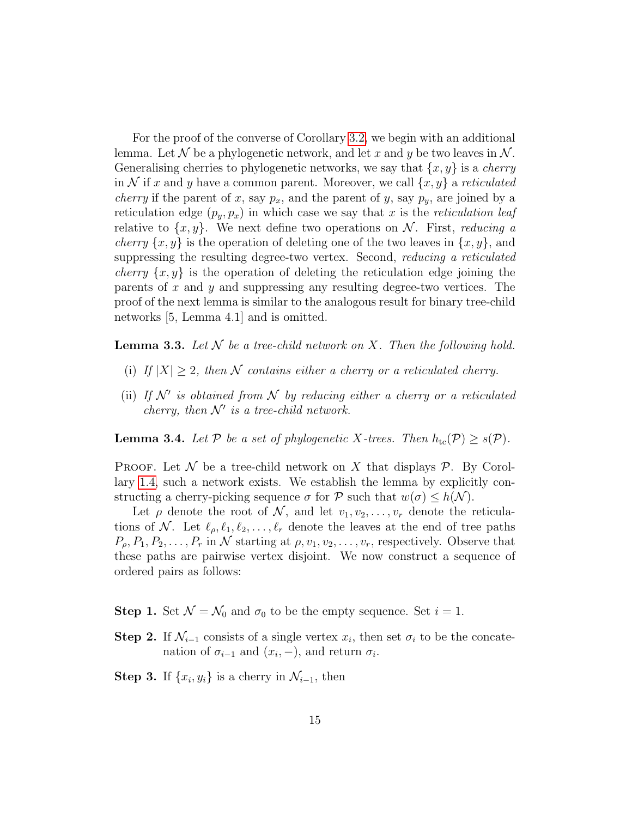For the proof of the converse of Corollary [3.2,](#page-13-0) we begin with an additional lemma. Let N be a phylogenetic network, and let x and y be two leaves in N. Generalising cherries to phylogenetic networks, we say that  $\{x, y\}$  is a *cherry* in N if x and y have a common parent. Moreover, we call  $\{x, y\}$  a reticulated *cherry* if the parent of x, say  $p_x$ , and the parent of y, say  $p_y$ , are joined by a reticulation edge  $(p_y, p_x)$  in which case we say that x is the reticulation leaf relative to  $\{x, y\}$ . We next define two operations on N. First, reducing a *cherry*  $\{x, y\}$  is the operation of deleting one of the two leaves in  $\{x, y\}$ , and suppressing the resulting degree-two vertex. Second, *reducing a reticulated cherry*  $\{x, y\}$  is the operation of deleting the reticulation edge joining the parents of  $x$  and  $y$  and suppressing any resulting degree-two vertices. The proof of the next lemma is similar to the analogous result for binary tree-child networks [5, Lemma 4.1] and is omitted.

<span id="page-14-1"></span>**Lemma 3.3.** Let  $N$  be a tree-child network on X. Then the following hold.

- (i) If  $|X| \geq 2$ , then N contains either a cherry or a reticulated cherry.
- (ii) If  $\mathcal{N}'$  is obtained from  $\mathcal N$  by reducing either a cherry or a reticulated cherry, then  $\mathcal{N}'$  is a tree-child network.

<span id="page-14-0"></span>**Lemma 3.4.** Let P be a set of phylogenetic X-trees. Then  $h_{\text{tc}}(\mathcal{P}) \geq s(\mathcal{P})$ .

**PROOF.** Let  $\mathcal N$  be a tree-child network on X that displays  $\mathcal P$ . By Corollary [1.4,](#page-7-1) such a network exists. We establish the lemma by explicitly constructing a cherry-picking sequence  $\sigma$  for P such that  $w(\sigma) \leq h(\mathcal{N})$ .

Let  $\rho$  denote the root of N, and let  $v_1, v_2, \ldots, v_r$  denote the reticulations of N. Let  $\ell_{\rho}, \ell_1, \ell_2, \ldots, \ell_r$  denote the leaves at the end of tree paths  $P_{\rho}, P_1, P_2, \ldots, P_r$  in N starting at  $\rho, v_1, v_2, \ldots, v_r$ , respectively. Observe that these paths are pairwise vertex disjoint. We now construct a sequence of ordered pairs as follows:

**Step 1.** Set  $\mathcal{N} = \mathcal{N}_0$  and  $\sigma_0$  to be the empty sequence. Set  $i = 1$ .

**Step 2.** If  $\mathcal{N}_{i-1}$  consists of a single vertex  $x_i$ , then set  $\sigma_i$  to be the concatenation of  $\sigma_{i-1}$  and  $(x_i, -)$ , and return  $\sigma_i$ .

Step 3. If  $\{x_i, y_i\}$  is a cherry in  $\mathcal{N}_{i-1}$ , then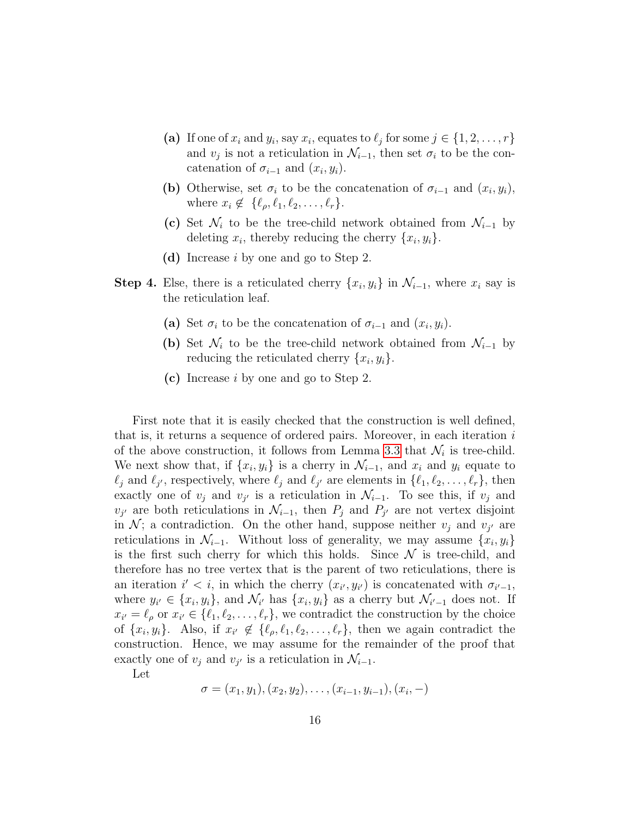- (a) If one of  $x_i$  and  $y_i$ , say  $x_i$ , equates to  $\ell_j$  for some  $j \in \{1, 2, \ldots, r\}$ and  $v_j$  is not a reticulation in  $\mathcal{N}_{i-1}$ , then set  $\sigma_i$  to be the concatenation of  $\sigma_{i-1}$  and  $(x_i, y_i)$ .
- (b) Otherwise, set  $\sigma_i$  to be the concatenation of  $\sigma_{i-1}$  and  $(x_i, y_i)$ , where  $x_i \notin \{\ell_\rho, \ell_1, \ell_2, \ldots, \ell_r\}.$
- (c) Set  $\mathcal{N}_i$  to be the tree-child network obtained from  $\mathcal{N}_{i-1}$  by deleting  $x_i$ , thereby reducing the cherry  $\{x_i, y_i\}$ .
- (d) Increase i by one and go to Step 2.
- **Step 4.** Else, there is a reticulated cherry  $\{x_i, y_i\}$  in  $\mathcal{N}_{i-1}$ , where  $x_i$  say is the reticulation leaf.
	- (a) Set  $\sigma_i$  to be the concatenation of  $\sigma_{i-1}$  and  $(x_i, y_i)$ .
	- (b) Set  $\mathcal{N}_i$  to be the tree-child network obtained from  $\mathcal{N}_{i-1}$  by reducing the reticulated cherry  $\{x_i, y_i\}.$
	- (c) Increase i by one and go to Step 2.

First note that it is easily checked that the construction is well defined, that is, it returns a sequence of ordered pairs. Moreover, in each iteration  $i$ of the above construction, it follows from Lemma [3.3](#page-14-1) that  $\mathcal{N}_i$  is tree-child. We next show that, if  $\{x_i, y_i\}$  is a cherry in  $\mathcal{N}_{i-1}$ , and  $x_i$  and  $y_i$  equate to  $\ell_j$  and  $\ell_{j'}$ , respectively, where  $\ell_j$  and  $\ell_{j'}$  are elements in  $\{\ell_1, \ell_2, \ldots, \ell_r\}$ , then exactly one of  $v_j$  and  $v_{j'}$  is a reticulation in  $\mathcal{N}_{i-1}$ . To see this, if  $v_j$  and  $v_{j'}$  are both reticulations in  $\mathcal{N}_{i-1}$ , then  $P_j$  and  $P_{j'}$  are not vertex disjoint in  $\mathcal{N}$ ; a contradiction. On the other hand, suppose neither  $v_j$  and  $v_{j'}$  are reticulations in  $\mathcal{N}_{i-1}$ . Without loss of generality, we may assume  $\{x_i, y_i\}$ is the first such cherry for which this holds. Since  $\mathcal N$  is tree-child, and therefore has no tree vertex that is the parent of two reticulations, there is an iteration  $i' < i$ , in which the cherry  $(x_{i'}, y_{i'})$  is concatenated with  $\sigma_{i'-1}$ , where  $y_{i'} \in \{x_i, y_i\}$ , and  $\mathcal{N}_{i'}$  has  $\{x_i, y_i\}$  as a cherry but  $\mathcal{N}_{i'-1}$  does not. If  $x_{i'} = \ell_{\rho}$  or  $x_{i'} \in \{\ell_1, \ell_2, \ldots, \ell_r\}$ , we contradict the construction by the choice of  $\{x_i, y_i\}$ . Also, if  $x_{i'} \notin \{\ell_\rho, \ell_1, \ell_2, \ldots, \ell_r\}$ , then we again contradict the construction. Hence, we may assume for the remainder of the proof that exactly one of  $v_j$  and  $v_{j'}$  is a reticulation in  $\mathcal{N}_{i-1}$ .

Let

 $\sigma = (x_1, y_1), (x_2, y_2), \ldots, (x_{i-1}, y_{i-1}), (x_i, -)$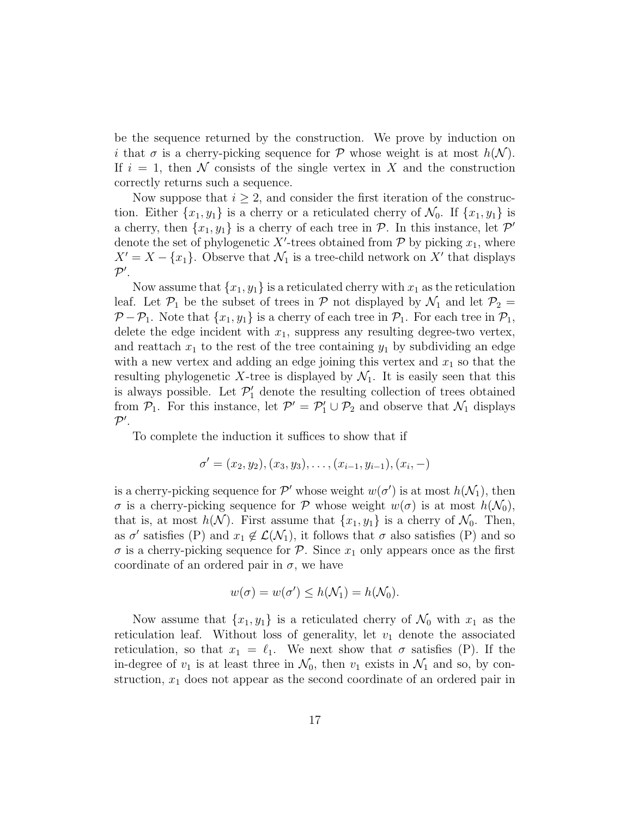be the sequence returned by the construction. We prove by induction on i that  $\sigma$  is a cherry-picking sequence for P whose weight is at most  $h(\mathcal{N})$ . If  $i = 1$ , then N consists of the single vertex in X and the construction correctly returns such a sequence.

Now suppose that  $i \geq 2$ , and consider the first iteration of the construction. Either  $\{x_1, y_1\}$  is a cherry or a reticulated cherry of  $\mathcal{N}_0$ . If  $\{x_1, y_1\}$  is a cherry, then  $\{x_1, y_1\}$  is a cherry of each tree in  $P$ . In this instance, let  $P'$ denote the set of phylogenetic X'-trees obtained from  $P$  by picking  $x_1$ , where  $X' = X - \{x_1\}$ . Observe that  $\mathcal{N}_1$  is a tree-child network on X' that displays  $\mathcal{P}^\prime$ .

Now assume that  $\{x_1, y_1\}$  is a reticulated cherry with  $x_1$  as the reticulation leaf. Let  $\mathcal{P}_1$  be the subset of trees in  $\mathcal P$  not displayed by  $\mathcal N_1$  and let  $\mathcal P_2 =$  $P - P_1$ . Note that  $\{x_1, y_1\}$  is a cherry of each tree in  $P_1$ . For each tree in  $P_1$ , delete the edge incident with  $x_1$ , suppress any resulting degree-two vertex, and reattach  $x_1$  to the rest of the tree containing  $y_1$  by subdividing an edge with a new vertex and adding an edge joining this vertex and  $x_1$  so that the resulting phylogenetic X-tree is displayed by  $\mathcal{N}_1$ . It is easily seen that this is always possible. Let  $\mathcal{P}'_1$  denote the resulting collection of trees obtained from  $P_1$ . For this instance, let  $P' = P'_1 \cup P_2$  and observe that  $\mathcal{N}_1$  displays  $\mathcal{P}^\prime$ .

To complete the induction it suffices to show that if

$$
\sigma' = (x_2, y_2), (x_3, y_3), \dots, (x_{i-1}, y_{i-1}), (x_i, -)
$$

is a cherry-picking sequence for  $\mathcal{P}'$  whose weight  $w(\sigma')$  is at most  $h(\mathcal{N}_1)$ , then  $\sigma$  is a cherry-picking sequence for P whose weight  $w(\sigma)$  is at most  $h(\mathcal{N}_0)$ , that is, at most  $h(\mathcal{N})$ . First assume that  $\{x_1, y_1\}$  is a cherry of  $\mathcal{N}_0$ . Then, as  $\sigma'$  satisfies (P) and  $x_1 \notin \mathcal{L}(\mathcal{N}_1)$ , it follows that  $\sigma$  also satisfies (P) and so  $\sigma$  is a cherry-picking sequence for  $\mathcal{P}$ . Since  $x_1$  only appears once as the first coordinate of an ordered pair in  $\sigma$ , we have

$$
w(\sigma) = w(\sigma') \le h(\mathcal{N}_1) = h(\mathcal{N}_0).
$$

Now assume that  $\{x_1, y_1\}$  is a reticulated cherry of  $\mathcal{N}_0$  with  $x_1$  as the reticulation leaf. Without loss of generality, let  $v_1$  denote the associated reticulation, so that  $x_1 = \ell_1$ . We next show that  $\sigma$  satisfies (P). If the in-degree of  $v_1$  is at least three in  $\mathcal{N}_0$ , then  $v_1$  exists in  $\mathcal{N}_1$  and so, by construction,  $x_1$  does not appear as the second coordinate of an ordered pair in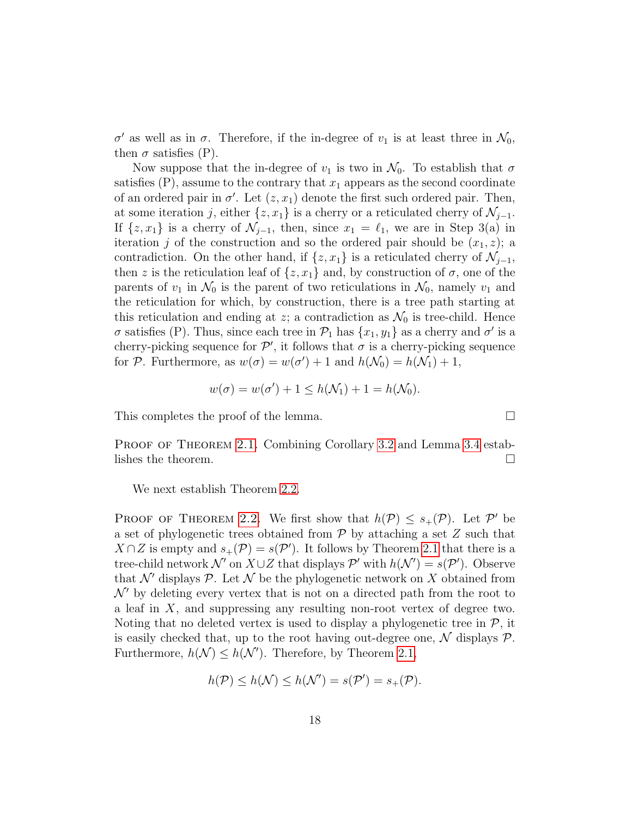σ' as well as in σ. Therefore, if the in-degree of  $v_1$  is at least three in  $\mathcal{N}_0$ , then  $\sigma$  satisfies (P).

Now suppose that the in-degree of  $v_1$  is two in  $\mathcal{N}_0$ . To establish that  $\sigma$ satisfies  $(P)$ , assume to the contrary that  $x_1$  appears as the second coordinate of an ordered pair in  $\sigma'$ . Let  $(z, x_1)$  denote the first such ordered pair. Then, at some iteration j, either  $\{z, x_1\}$  is a cherry or a reticulated cherry of  $\mathcal{N}_{j-1}$ . If  $\{z, x_1\}$  is a cherry of  $\mathcal{N}_{j-1}$ , then, since  $x_1 = \ell_1$ , we are in Step 3(a) in iteration j of the construction and so the ordered pair should be  $(x_1, z)$ ; a contradiction. On the other hand, if  $\{z, x_1\}$  is a reticulated cherry of  $\mathcal{N}_{j-1}$ , then z is the reticulation leaf of  $\{z, x_1\}$  and, by construction of  $\sigma$ , one of the parents of  $v_1$  in  $\mathcal{N}_0$  is the parent of two reticulations in  $\mathcal{N}_0$ , namely  $v_1$  and the reticulation for which, by construction, there is a tree path starting at this reticulation and ending at z; a contradiction as  $\mathcal{N}_0$  is tree-child. Hence  $\sigma$  satisfies (P). Thus, since each tree in  $\mathcal{P}_1$  has  $\{x_1, y_1\}$  as a cherry and  $\sigma'$  is a cherry-picking sequence for  $\mathcal{P}'$ , it follows that  $\sigma$  is a cherry-picking sequence for P. Furthermore, as  $w(\sigma) = w(\sigma') + 1$  and  $h(\mathcal{N}_0) = h(\mathcal{N}_1) + 1$ ,

$$
w(\sigma) = w(\sigma') + 1 \le h(\mathcal{N}_1) + 1 = h(\mathcal{N}_0).
$$

This completes the proof of the lemma.  $\Box$ 

PROOF OF THEOREM [2.1.](#page-9-0) Combining Corollary [3.2](#page-13-0) and Lemma [3.4](#page-14-0) establishes the theorem.  $\Box$ 

We next establish Theorem [2.2.](#page-10-0)

PROOF OF THEOREM [2.2.](#page-10-0) We first show that  $h(\mathcal{P}) \leq s_+(\mathcal{P})$ . Let  $\mathcal{P}'$  be a set of phylogenetic trees obtained from  $P$  by attaching a set  $Z$  such that  $X \cap Z$  is empty and  $s_{+}(\mathcal{P}) = s(\mathcal{P}')$ . It follows by Theorem [2.1](#page-9-0) that there is a tree-child network  $\mathcal{N}'$  on  $X \cup Z$  that displays  $\mathcal{P}'$  with  $h(\mathcal{N}') = s(\mathcal{P}')$ . Observe that  $\mathcal{N}'$  displays  $\mathcal{P}$ . Let  $\mathcal{N}$  be the phylogenetic network on X obtained from  $\mathcal{N}'$  by deleting every vertex that is not on a directed path from the root to a leaf in  $X$ , and suppressing any resulting non-root vertex of degree two. Noting that no deleted vertex is used to display a phylogenetic tree in  $P$ , it is easily checked that, up to the root having out-degree one,  $\mathcal N$  displays  $\mathcal P$ . Furthermore,  $h(\mathcal{N}) \leq h(\mathcal{N}')$ . Therefore, by Theorem [2.1,](#page-9-0)

$$
h(\mathcal{P}) \le h(\mathcal{N}) \le h(\mathcal{N}') = s(\mathcal{P}') = s_+(\mathcal{P}).
$$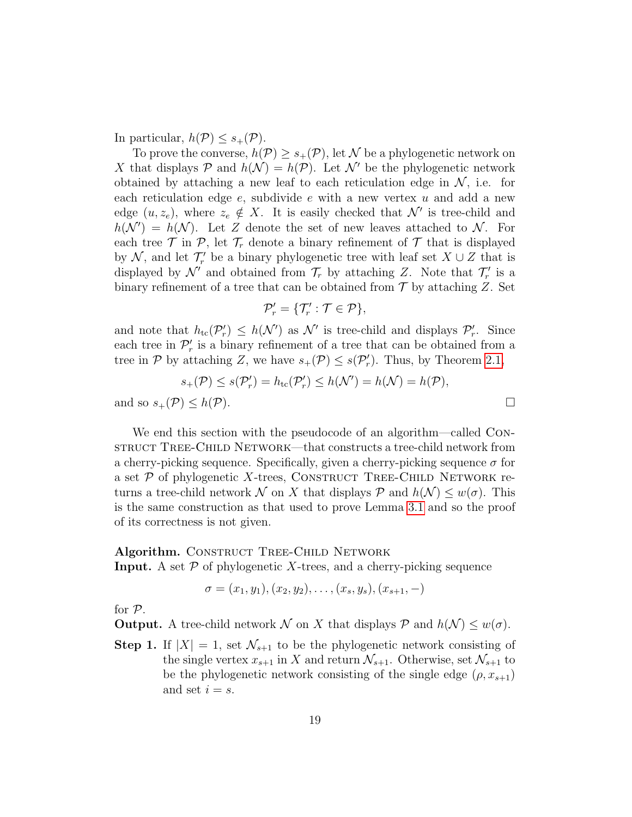In particular,  $h(\mathcal{P}) \leq s_+(\mathcal{P})$ .

To prove the converse,  $h(\mathcal{P}) \geq s_+(\mathcal{P})$ , let N be a phylogenetic network on X that displays P and  $h(\mathcal{N}) = h(\mathcal{P})$ . Let N' be the phylogenetic network obtained by attaching a new leaf to each reticulation edge in  $\mathcal{N}$ , i.e. for each reticulation edge  $e$ , subdivide  $e$  with a new vertex  $u$  and add a new edge  $(u, z_e)$ , where  $z_e \notin X$ . It is easily checked that  $\mathcal{N}'$  is tree-child and  $h(\mathcal{N}') = h(\mathcal{N})$ . Let Z denote the set of new leaves attached to N. For each tree  $\mathcal T$  in  $\mathcal P$ , let  $\mathcal T_r$  denote a binary refinement of  $\mathcal T$  that is displayed by  $\mathcal{N}$ , and let  $\mathcal{T}'_r$  be a binary phylogenetic tree with leaf set  $X \cup Z$  that is displayed by  $\mathcal{N}'$  and obtained from  $\mathcal{T}_r$  by attaching Z. Note that  $\mathcal{T}'_r$  is a binary refinement of a tree that can be obtained from  $\mathcal T$  by attaching Z. Set

$$
\mathcal{P}'_r = \{ \mathcal{T}'_r : \mathcal{T} \in \mathcal{P} \},\
$$

and note that  $h_{\text{tc}}(\mathcal{P}_r') \leq h(\mathcal{N}')$  as  $\mathcal{N}'$  is tree-child and displays  $\mathcal{P}_r'$ . Since each tree in  $\mathcal{P}'_r$  is a binary refinement of a tree that can be obtained from a tree in  $P$  by attaching Z, we have  $s_+(\mathcal{P}) \leq s(\mathcal{P}'_r)$ . Thus, by Theorem [2.1,](#page-9-0)

$$
s_+(\mathcal{P}) \le s(\mathcal{P}'_r) = h_{\rm tc}(\mathcal{P}'_r) \le h(\mathcal{N}') = h(\mathcal{N}) = h(\mathcal{P}),
$$
  
and so  $s_+(\mathcal{P}) \le h(\mathcal{P})$ .

We end this section with the pseudocode of an algorithm—called CONstruct Tree-Child Network—that constructs a tree-child network from a cherry-picking sequence. Specifically, given a cherry-picking sequence  $\sigma$  for a set  $P$  of phylogenetic X-trees, CONSTRUCT TREE-CHILD NETWORK returns a tree-child network N on X that displays P and  $h(\mathcal{N}) \leq w(\sigma)$ . This is the same construction as that used to prove Lemma [3.1](#page-11-2) and so the proof of its correctness is not given.

#### Algorithm. CONSTRUCT TREE-CHILD NETWORK

**Input.** A set  $P$  of phylogenetic X-trees, and a cherry-picking sequence

$$
\sigma = (x_1, y_1), (x_2, y_2), \dots, (x_s, y_s), (x_{s+1}, -)
$$

for P.

**Output.** A tree-child network N on X that displays P and  $h(\mathcal{N}) \leq w(\sigma)$ .

**Step 1.** If  $|X| = 1$ , set  $\mathcal{N}_{s+1}$  to be the phylogenetic network consisting of the single vertex  $x_{s+1}$  in X and return  $\mathcal{N}_{s+1}$ . Otherwise, set  $\mathcal{N}_{s+1}$  to be the phylogenetic network consisting of the single edge  $(\rho, x_{s+1})$ and set  $i = s$ .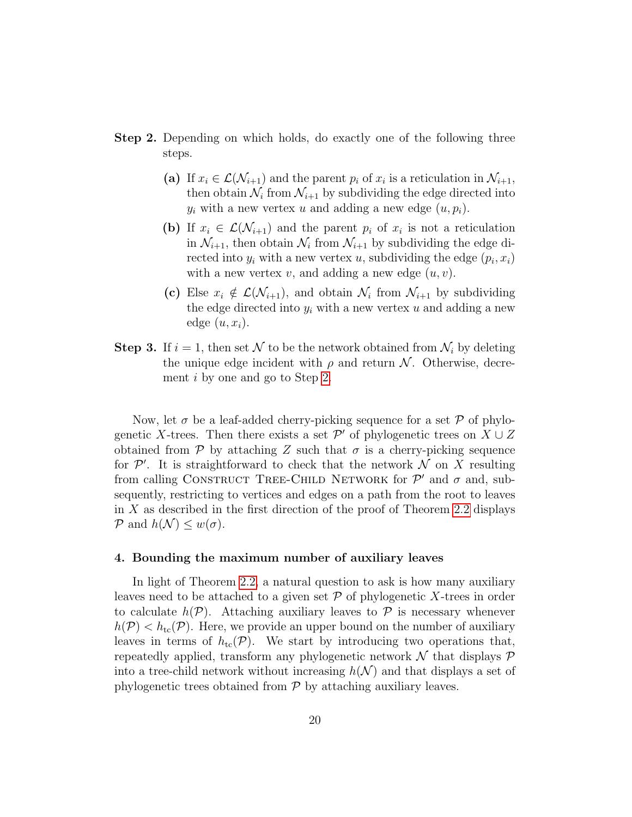- <span id="page-19-1"></span>Step 2. Depending on which holds, do exactly one of the following three steps.
	- (a) If  $x_i \in \mathcal{L}(\mathcal{N}_{i+1})$  and the parent  $p_i$  of  $x_i$  is a reticulation in  $\mathcal{N}_{i+1}$ , then obtain  $\mathcal{N}_i$  from  $\mathcal{N}_{i+1}$  by subdividing the edge directed into  $y_i$  with a new vertex u and adding a new edge  $(u, p_i)$ .
	- (b) If  $x_i \in \mathcal{L}(\mathcal{N}_{i+1})$  and the parent  $p_i$  of  $x_i$  is not a reticulation in  $\mathcal{N}_{i+1}$ , then obtain  $\mathcal{N}_i$  from  $\mathcal{N}_{i+1}$  by subdividing the edge directed into  $y_i$  with a new vertex  $u$ , subdividing the edge  $(p_i, x_i)$ with a new vertex  $v$ , and adding a new edge  $(u, v)$ .
	- (c) Else  $x_i \notin \mathcal{L}(\mathcal{N}_{i+1})$ , and obtain  $\mathcal{N}_i$  from  $\mathcal{N}_{i+1}$  by subdividing the edge directed into  $y_i$  with a new vertex u and adding a new edge  $(u, x_i)$ .
- **Step 3.** If  $i = 1$ , then set N to be the network obtained from  $\mathcal{N}_i$  by deleting the unique edge incident with  $\rho$  and return N. Otherwise, decrement i by one and go to Step [2.](#page-19-1)

Now, let  $\sigma$  be a leaf-added cherry-picking sequence for a set  $\mathcal P$  of phylogenetic X-trees. Then there exists a set  $\mathcal{P}'$  of phylogenetic trees on  $X \cup Z$ obtained from P by attaching Z such that  $\sigma$  is a cherry-picking sequence for  $\mathcal{P}'$ . It is straightforward to check that the network  $\mathcal N$  on X resulting from calling CONSTRUCT TREE-CHILD NETWORK for  $\mathcal{P}'$  and  $\sigma$  and, subsequently, restricting to vertices and edges on a path from the root to leaves in  $X$  as described in the first direction of the proof of Theorem [2.2](#page-10-0) displays P and  $h(\mathcal{N}) \leq w(\sigma)$ .

# <span id="page-19-0"></span>4. Bounding the maximum number of auxiliary leaves

In light of Theorem [2.2,](#page-10-0) a natural question to ask is how many auxiliary leaves need to be attached to a given set  $\mathcal P$  of phylogenetic X-trees in order to calculate  $h(\mathcal{P})$ . Attaching auxiliary leaves to  $\mathcal P$  is necessary whenever  $h(\mathcal{P}) < h_{\text{tc}}(\mathcal{P})$ . Here, we provide an upper bound on the number of auxiliary leaves in terms of  $h_{\text{tc}}(\mathcal{P})$ . We start by introducing two operations that, repeatedly applied, transform any phylogenetic network  $\mathcal N$  that displays  $\mathcal P$ into a tree-child network without increasing  $h(\mathcal{N})$  and that displays a set of phylogenetic trees obtained from  $P$  by attaching auxiliary leaves.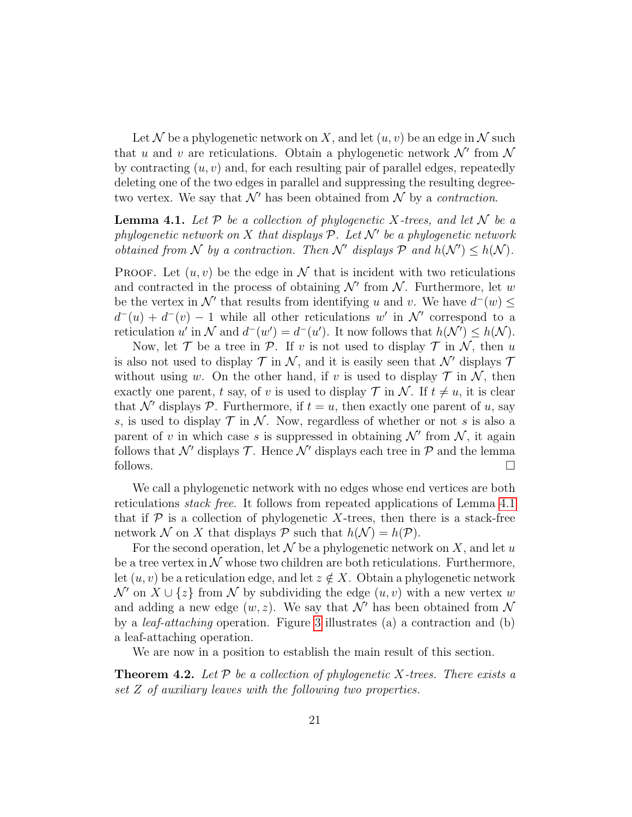Let N be a phylogenetic network on X, and let  $(u, v)$  be an edge in N such that u and v are reticulations. Obtain a phylogenetic network  $\mathcal{N}'$  from  $\mathcal{N}$ by contracting  $(u, v)$  and, for each resulting pair of parallel edges, repeatedly deleting one of the two edges in parallel and suppressing the resulting degreetwo vertex. We say that  $\mathcal{N}'$  has been obtained from  $\mathcal N$  by a *contraction*.

<span id="page-20-0"></span>**Lemma 4.1.** Let  $P$  be a collection of phylogenetic X-trees, and let  $N$  be a phylogenetic network on X that displays  $P$ . Let  $\mathcal{N}'$  be a phylogenetic network obtained from N by a contraction. Then N' displays P and  $h(\mathcal{N}') \leq h(\mathcal{N})$ .

**PROOF.** Let  $(u, v)$  be the edge in N that is incident with two reticulations and contracted in the process of obtaining  $\mathcal{N}'$  from  $\mathcal{N}$ . Furthermore, let w be the vertex in  $\mathcal{N}'$  that results from identifying u and v. We have  $d^-(w) \leq$  $d^-(u) + d^-(v) - 1$  while all other reticulations w' in N' correspond to a reticulation u' in N and  $d^-(w') = d^-(u')$ . It now follows that  $h(\mathcal{N}') \leq h(\mathcal{N})$ .

Now, let  $\mathcal T$  be a tree in  $\mathcal P$ . If v is not used to display  $\mathcal T$  in  $\mathcal N$ , then u is also not used to display  $\mathcal T$  in  $\mathcal N$ , and it is easily seen that  $\mathcal N'$  displays  $\mathcal T$ without using w. On the other hand, if v is used to display  $\mathcal T$  in  $\mathcal N$ , then exactly one parent, t say, of v is used to display  $\mathcal T$  in  $\mathcal N$ . If  $t \neq u$ , it is clear that N' displays P. Furthermore, if  $t = u$ , then exactly one parent of u, say s, is used to display  $\mathcal T$  in  $\mathcal N$ . Now, regardless of whether or not s is also a parent of v in which case s is suppressed in obtaining  $\mathcal{N}'$  from  $\mathcal{N}$ , it again follows that  $\mathcal{N}'$  displays  $\mathcal{T}$ . Hence  $\mathcal{N}'$  displays each tree in  $\mathcal{P}$  and the lemma follows.  $\Box$ 

We call a phylogenetic network with no edges whose end vertices are both reticulations stack free. It follows from repeated applications of Lemma [4.1](#page-20-0) that if  $P$  is a collection of phylogenetic X-trees, then there is a stack-free network N on X that displays P such that  $h(\mathcal{N}) = h(\mathcal{P})$ .

For the second operation, let  $\mathcal N$  be a phylogenetic network on X, and let u be a tree vertex in  $\mathcal N$  whose two children are both reticulations. Furthermore, let  $(u, v)$  be a reticulation edge, and let  $z \notin X$ . Obtain a phylogenetic network  $\mathcal{N}'$  on  $X \cup \{z\}$  from  $\mathcal N$  by subdividing the edge  $(u, v)$  with a new vertex w and adding a new edge  $(w, z)$ . We say that N' has been obtained from N by a leaf-attaching operation. Figure [3](#page-21-0) illustrates (a) a contraction and (b) a leaf-attaching operation.

We are now in a position to establish the main result of this section.

**Theorem 4.2.** Let  $P$  be a collection of phylogenetic X-trees. There exists a set Z of auxiliary leaves with the following two properties.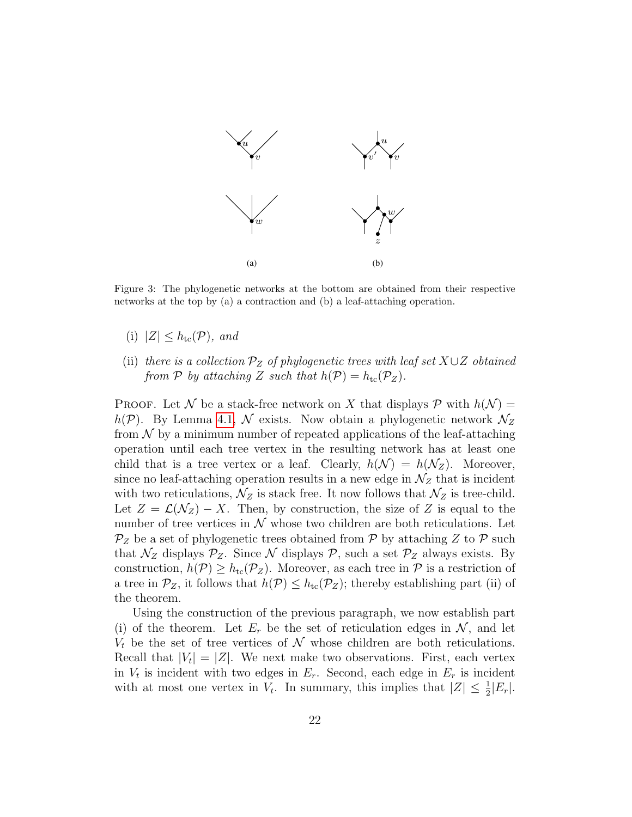

<span id="page-21-0"></span>Figure 3: The phylogenetic networks at the bottom are obtained from their respective networks at the top by (a) a contraction and (b) a leaf-attaching operation.

- (i)  $|Z| \leq h_{\rm tc}(\mathcal{P})$ , and
- (ii) there is a collection  $\mathcal{P}_Z$  of phylogenetic trees with leaf set  $X\cup Z$  obtained from P by attaching Z such that  $h(\mathcal{P}) = h_{\text{tc}}(\mathcal{P}_Z)$ .

**PROOF.** Let N be a stack-free network on X that displays P with  $h(\mathcal{N}) =$  $h(\mathcal{P})$ . By Lemma [4.1,](#page-20-0) N exists. Now obtain a phylogenetic network  $\mathcal{N}_Z$ from  $\mathcal N$  by a minimum number of repeated applications of the leaf-attaching operation until each tree vertex in the resulting network has at least one child that is a tree vertex or a leaf. Clearly,  $h(\mathcal{N}) = h(\mathcal{N}_z)$ . Moreover, since no leaf-attaching operation results in a new edge in  $\mathcal{N}_Z$  that is incident with two reticulations,  $\mathcal{N}_Z$  is stack free. It now follows that  $\mathcal{N}_Z$  is tree-child. Let  $Z = \mathcal{L}(\mathcal{N}_Z) - X$ . Then, by construction, the size of Z is equal to the number of tree vertices in  $\mathcal N$  whose two children are both reticulations. Let  $\mathcal{P}_Z$  be a set of phylogenetic trees obtained from  $\mathcal P$  by attaching  $Z$  to  $\mathcal P$  such that  $\mathcal{N}_Z$  displays  $\mathcal{P}_Z$ . Since  $\mathcal N$  displays  $\mathcal P$ , such a set  $\mathcal P_Z$  always exists. By construction,  $h(\mathcal{P}) \geq h_{\text{tc}}(\mathcal{P}_Z)$ . Moreover, as each tree in  $\mathcal P$  is a restriction of a tree in  $\mathcal{P}_Z$ , it follows that  $h(\mathcal{P}) \leq h_{\text{tc}}(\mathcal{P}_Z)$ ; thereby establishing part (ii) of the theorem.

Using the construction of the previous paragraph, we now establish part (i) of the theorem. Let  $E_r$  be the set of reticulation edges in N, and let  $V_t$  be the set of tree vertices of N whose children are both reticulations. Recall that  $|V_t| = |Z|$ . We next make two observations. First, each vertex in  $V_t$  is incident with two edges in  $E_r$ . Second, each edge in  $E_r$  is incident with at most one vertex in  $V_t$ . In summary, this implies that  $|Z| \leq \frac{1}{2}|E_r|$ .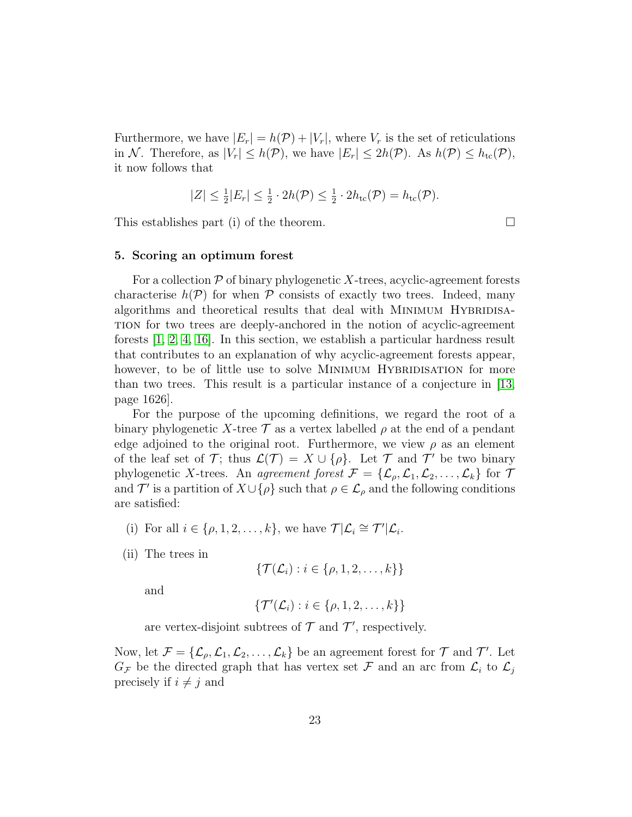Furthermore, we have  $|E_r| = h(\mathcal{P}) + |V_r|$ , where  $V_r$  is the set of reticulations in N. Therefore, as  $|V_r| \leq h(\mathcal{P})$ , we have  $|E_r| \leq 2h(\mathcal{P})$ . As  $h(\mathcal{P}) \leq h_{tc}(\mathcal{P})$ , it now follows that

$$
|Z| \leq \frac{1}{2}|E_r| \leq \frac{1}{2} \cdot 2h(\mathcal{P}) \leq \frac{1}{2} \cdot 2h_{\rm tc}(\mathcal{P}) = h_{\rm tc}(\mathcal{P}).
$$

This establishes part (i) of the theorem.  $\Box$ 

# <span id="page-22-0"></span>5. Scoring an optimum forest

For a collection  $P$  of binary phylogenetic X-trees, acyclic-agreement forests characterise  $h(\mathcal{P})$  for when  $\mathcal P$  consists of exactly two trees. Indeed, many algorithms and theoretical results that deal with MINIMUM HYBRIDISAtion for two trees are deeply-anchored in the notion of acyclic-agreement forests [\[1,](#page-32-2) [2,](#page-32-1) [4,](#page-32-4) [16\]](#page-33-2). In this section, we establish a particular hardness result that contributes to an explanation of why acyclic-agreement forests appear, however, to be of little use to solve MINIMUM HYBRIDISATION for more than two trees. This result is a particular instance of a conjecture in [\[13,](#page-33-6) page 1626].

For the purpose of the upcoming definitions, we regard the root of a binary phylogenetic X-tree  $\mathcal T$  as a vertex labelled  $\rho$  at the end of a pendant edge adjoined to the original root. Furthermore, we view  $\rho$  as an element of the leaf set of T; thus  $\mathcal{L}(\mathcal{T}) = X \cup \{\rho\}$ . Let T and T' be two binary phylogenetic X-trees. An agreement forest  $\mathcal{F} = {\mathcal{L}_{\rho}, \mathcal{L}_1, \mathcal{L}_2, \ldots, \mathcal{L}_k}$  for  $\mathcal{T}$ and T' is a partition of  $X \cup \{\rho\}$  such that  $\rho \in \mathcal{L}_{\rho}$  and the following conditions are satisfied:

- (i) For all  $i \in \{\rho, 1, 2, \ldots, k\}$ , we have  $\mathcal{T}|\mathcal{L}_i \cong \mathcal{T}'|\mathcal{L}_i$ .
- (ii) The trees in

$$
\{\mathcal{T}(\mathcal{L}_i): i \in \{\rho, 1, 2, \ldots, k\}\}\
$$

and

$$
\{\mathcal{T}'(\mathcal{L}_i): i \in \{\rho, 1, 2, \ldots, k\}\}\
$$

are vertex-disjoint subtrees of  $\mathcal T$  and  $\mathcal T'$ , respectively.

Now, let  $\mathcal{F} = \{\mathcal{L}_{\rho}, \mathcal{L}_1, \mathcal{L}_2, \dots, \mathcal{L}_k\}$  be an agreement forest for  $\mathcal{T}$  and  $\mathcal{T}'$ . Let  $G_{\mathcal{F}}$  be the directed graph that has vertex set  $\mathcal{F}$  and an arc from  $\mathcal{L}_i$  to  $\mathcal{L}_j$ precisely if  $i \neq j$  and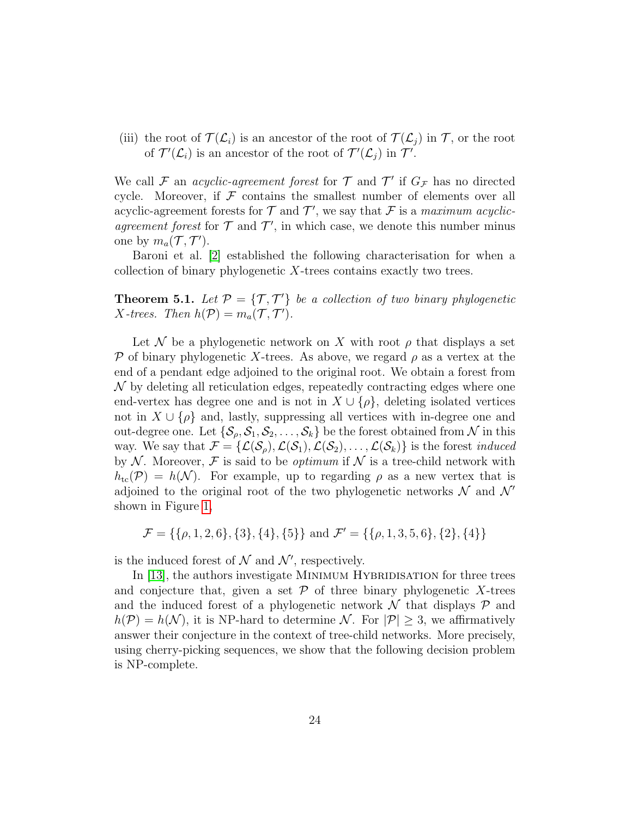(iii) the root of  $\mathcal{T}(\mathcal{L}_i)$  is an ancestor of the root of  $\mathcal{T}(\mathcal{L}_i)$  in  $\mathcal{T}$ , or the root of  $\mathcal{T}'(\mathcal{L}_i)$  is an ancestor of the root of  $\mathcal{T}'(\mathcal{L}_j)$  in  $\mathcal{T}'$ .

We call F an *acyclic-agreement forest* for  $\mathcal T$  and  $\mathcal T'$  if  $G_{\mathcal F}$  has no directed cycle. Moreover, if  $\mathcal F$  contains the smallest number of elements over all acyclic-agreement forests for  $\mathcal T$  and  $\mathcal T'$ , we say that  $\mathcal F$  is a maximum acyclicagreement forest for  $\mathcal T$  and  $\mathcal T'$ , in which case, we denote this number minus one by  $m_a(\mathcal{T}, \mathcal{T}').$ 

Baroni et al. [\[2\]](#page-32-1) established the following characterisation for when a collection of binary phylogenetic X-trees contains exactly two trees.

**Theorem 5.1.** Let  $P = \{T, T'\}$  be a collection of two binary phylogenetic *X*-trees. Then  $h(\mathcal{P}) = m_a(\mathcal{T}, \mathcal{T}')$ .

Let N be a phylogenetic network on X with root  $\rho$  that displays a set P of binary phylogenetic X-trees. As above, we regard  $\rho$  as a vertex at the end of a pendant edge adjoined to the original root. We obtain a forest from  $\mathcal N$  by deleting all reticulation edges, repeatedly contracting edges where one end-vertex has degree one and is not in  $X \cup {\rho}$ , deleting isolated vertices not in  $X \cup {\rho}$  and, lastly, suppressing all vertices with in-degree one and out-degree one. Let  $\{\mathcal{S}_{\rho}, \mathcal{S}_1, \mathcal{S}_2, \ldots, \mathcal{S}_k\}$  be the forest obtained from  $\mathcal N$  in this way. We say that  $\mathcal{F} = {\{\mathcal{L}(\mathcal{S}_{\rho}), \mathcal{L}(\mathcal{S}_1), \mathcal{L}(\mathcal{S}_2), \dots, \mathcal{L}(\mathcal{S}_k)\}}$  is the forest *induced* by N. Moreover, F is said to be *optimum* if N is a tree-child network with  $h_{tc}(\mathcal{P}) = h(\mathcal{N})$ . For example, up to regarding  $\rho$  as a new vertex that is adjoined to the original root of the two phylogenetic networks  $\mathcal N$  and  $\mathcal N'$ shown in Figure [1,](#page-5-0)

$$
\mathcal{F} = \{ \{\rho, 1, 2, 6\}, \{3\}, \{4\}, \{5\} \} \text{ and } \mathcal{F}' = \{ \{\rho, 1, 3, 5, 6\}, \{2\}, \{4\} \}
$$

is the induced forest of  $N$  and  $N'$ , respectively.

In [\[13\]](#page-33-6), the authors investigate MINIMUM HYBRIDISATION for three trees and conjecture that, given a set  $\mathcal P$  of three binary phylogenetic X-trees and the induced forest of a phylogenetic network  $\mathcal N$  that displays  $\mathcal P$  and  $h(\mathcal{P}) = h(\mathcal{N})$ , it is NP-hard to determine  $\mathcal{N}$ . For  $|\mathcal{P}| \geq 3$ , we affirmatively answer their conjecture in the context of tree-child networks. More precisely, using cherry-picking sequences, we show that the following decision problem is NP-complete.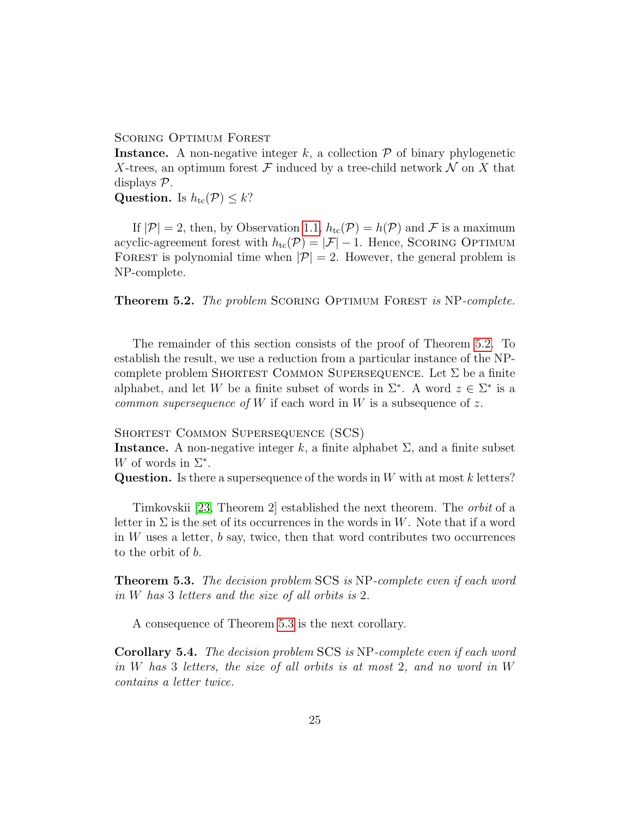# SCORING OPTIMUM FOREST

**Instance.** A non-negative integer k, a collection  $P$  of binary phylogenetic X-trees, an optimum forest  $\mathcal F$  induced by a tree-child network  $\mathcal N$  on X that displays P.

Question. Is  $h_{\text{tc}}(\mathcal{P}) \leq k$ ?

If  $|\mathcal{P}| = 2$ , then, by Observation [1.1,](#page-6-0)  $h_{\text{tc}}(\mathcal{P}) = h(\mathcal{P})$  and  $\mathcal F$  is a maximum acyclic-agreement forest with  $h_{\text{tc}}(\mathcal{P}) = |\mathcal{F}| - 1$ . Hence, SCORING OPTIMUM FOREST is polynomial time when  $|\mathcal{P}| = 2$ . However, the general problem is NP-complete.

<span id="page-24-0"></span>**Theorem 5.2.** The problem SCORING OPTIMUM FOREST is NP-complete.

The remainder of this section consists of the proof of Theorem [5.2.](#page-24-0) To establish the result, we use a reduction from a particular instance of the NPcomplete problem SHORTEST COMMON SUPERSEQUENCE. Let  $\Sigma$  be a finite alphabet, and let W be a finite subset of words in  $\Sigma^*$ . A word  $z \in \Sigma^*$  is a common supersequence of W if each word in W is a subsequence of z.

Shortest Common Supersequence (SCS)

**Instance.** A non-negative integer k, a finite alphabet  $\Sigma$ , and a finite subset W of words in  $\Sigma^*$ .

**Question.** Is there a supersequence of the words in  $W$  with at most k letters?

Timkovskii [\[23,](#page-34-4) Theorem 2] established the next theorem. The orbit of a letter in  $\Sigma$  is the set of its occurrences in the words in W. Note that if a word in  $W$  uses a letter,  $b$  say, twice, then that word contributes two occurrences to the orbit of b.

<span id="page-24-1"></span>**Theorem 5.3.** The decision problem SCS is NP-complete even if each word in W has 3 letters and the size of all orbits is 2.

A consequence of Theorem [5.3](#page-24-1) is the next corollary.

<span id="page-24-2"></span>Corollary 5.4. The decision problem SCS is NP-complete even if each word in W has 3 letters, the size of all orbits is at most 2, and no word in W contains a letter twice.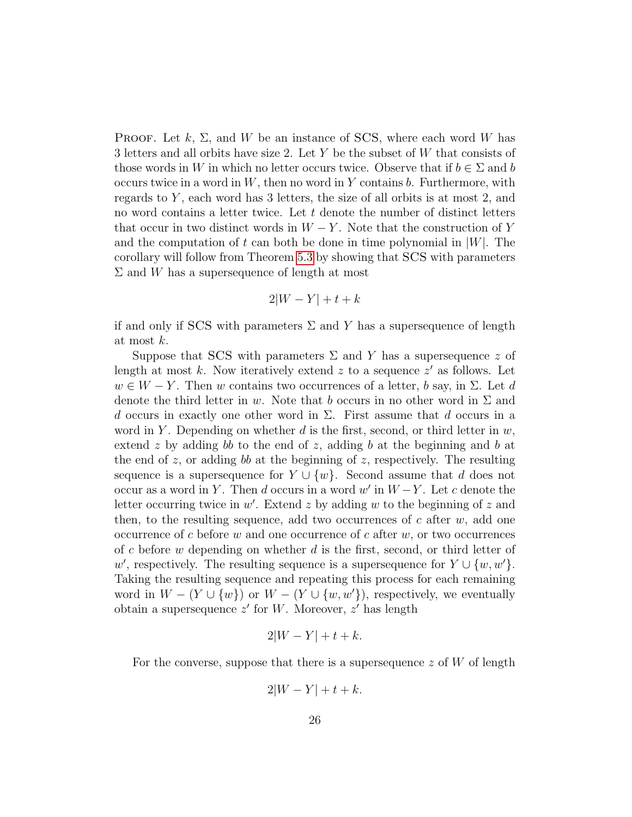**PROOF.** Let  $k$ ,  $\Sigma$ , and W be an instance of SCS, where each word W has 3 letters and all orbits have size 2. Let Y be the subset of W that consists of those words in W in which no letter occurs twice. Observe that if  $b \in \Sigma$  and b occurs twice in a word in  $W$ , then no word in Y contains  $b$ . Furthermore, with regards to  $Y$ , each word has 3 letters, the size of all orbits is at most 2, and no word contains a letter twice. Let  $t$  denote the number of distinct letters that occur in two distinct words in  $W - Y$ . Note that the construction of Y and the computation of t can both be done in time polynomial in  $|W|$ . The corollary will follow from Theorem [5.3](#page-24-1) by showing that SCS with parameters  $\Sigma$  and W has a supersequence of length at most

$$
2|W - Y| + t + k
$$

if and only if SCS with parameters  $\Sigma$  and Y has a supersequence of length at most k.

Suppose that SCS with parameters  $\Sigma$  and Y has a supersequence z of length at most  $k$ . Now iteratively extend  $z$  to a sequence  $z'$  as follows. Let  $w \in W - Y$ . Then w contains two occurrences of a letter, b say, in  $\Sigma$ . Let d denote the third letter in w. Note that b occurs in no other word in  $\Sigma$  and d occurs in exactly one other word in  $\Sigma$ . First assume that d occurs in a word in Y. Depending on whether  $d$  is the first, second, or third letter in  $w$ , extend z by adding bb to the end of z, adding b at the beginning and b at the end of z, or adding bb at the beginning of z, respectively. The resulting sequence is a supersequence for  $Y \cup \{w\}$ . Second assume that d does not occur as a word in Y. Then d occurs in a word  $w'$  in  $W-Y$ . Let c denote the letter occurring twice in  $w'$ . Extend z by adding w to the beginning of z and then, to the resulting sequence, add two occurrences of c after  $w$ , add one occurrence of c before w and one occurrence of c after  $w$ , or two occurrences of c before w depending on whether  $d$  is the first, second, or third letter of w', respectively. The resulting sequence is a supersequence for  $Y \cup \{w, w'\}.$ Taking the resulting sequence and repeating this process for each remaining word in  $W - (Y \cup \{w\})$  or  $W - (Y \cup \{w, w'\})$ , respectively, we eventually obtain a supersequence  $z'$  for W. Moreover,  $z'$  has length

$$
2|W - Y| + t + k.
$$

For the converse, suppose that there is a supersequence  $z$  of  $W$  of length

$$
2|W - Y| + t + k.
$$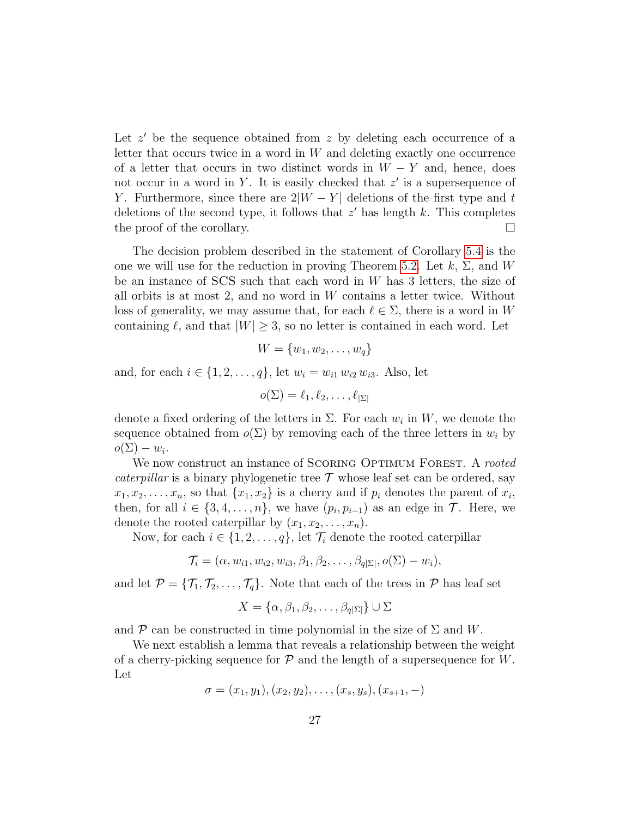Let  $z'$  be the sequence obtained from  $z$  by deleting each occurrence of a letter that occurs twice in a word in  $W$  and deleting exactly one occurrence of a letter that occurs in two distinct words in  $W - Y$  and, hence, does not occur in a word in Y. It is easily checked that  $z'$  is a supersequence of Y. Furthermore, since there are  $2|W - Y|$  deletions of the first type and t deletions of the second type, it follows that  $z'$  has length  $k$ . This completes the proof of the corollary.  $\Box$ 

The decision problem described in the statement of Corollary [5.4](#page-24-2) is the one we will use for the reduction in proving Theorem [5.2.](#page-24-0) Let  $k$ ,  $\Sigma$ , and W be an instance of  $SCS$  such that each word in  $W$  has 3 letters, the size of all orbits is at most 2, and no word in  $W$  contains a letter twice. Without loss of generality, we may assume that, for each  $\ell \in \Sigma$ , there is a word in W containing  $\ell$ , and that  $|W| \geq 3$ , so no letter is contained in each word. Let

$$
W = \{w_1, w_2, \dots, w_q\}
$$

and, for each  $i \in \{1, 2, ..., q\}$ , let  $w_i = w_{i1} w_{i2} w_{i3}$ . Also, let

$$
o(\Sigma) = \ell_1, \ell_2, \ldots, \ell_{|\Sigma|}
$$

denote a fixed ordering of the letters in  $\Sigma$ . For each  $w_i$  in W, we denote the sequence obtained from  $o(\Sigma)$  by removing each of the three letters in  $w_i$  by  $o(\Sigma) - w_i.$ 

We now construct an instance of SCORING OPTIMUM FOREST. A rooted *caterpillar* is a binary phylogenetic tree  $\mathcal T$  whose leaf set can be ordered, say  $x_1, x_2, \ldots, x_n$ , so that  $\{x_1, x_2\}$  is a cherry and if  $p_i$  denotes the parent of  $x_i$ , then, for all  $i \in \{3, 4, \ldots, n\}$ , we have  $(p_i, p_{i-1})$  as an edge in  $\mathcal{T}$ . Here, we denote the rooted caterpillar by  $(x_1, x_2, \ldots, x_n)$ .

Now, for each  $i \in \{1, 2, ..., q\}$ , let  $\mathcal{T}_i$  denote the rooted caterpillar

$$
\mathcal{T}_i = (\alpha, w_{i1}, w_{i2}, w_{i3}, \beta_1, \beta_2, \dots, \beta_{q|\Sigma|}, o(\Sigma) - w_i),
$$

and let  $\mathcal{P} = {\mathcal{T}_1, \mathcal{T}_2, \ldots, \mathcal{T}_q}$ . Note that each of the trees in  $\mathcal{P}$  has leaf set

$$
X = \{ \alpha, \beta_1, \beta_2, \dots, \beta_{q|\Sigma|} \} \cup \Sigma
$$

and  $\mathcal P$  can be constructed in time polynomial in the size of  $\Sigma$  and W.

We next establish a lemma that reveals a relationship between the weight of a cherry-picking sequence for  $P$  and the length of a supersequence for  $W$ . Let

$$
\sigma = (x_1, y_1), (x_2, y_2), \ldots, (x_s, y_s), (x_{s+1}, -)
$$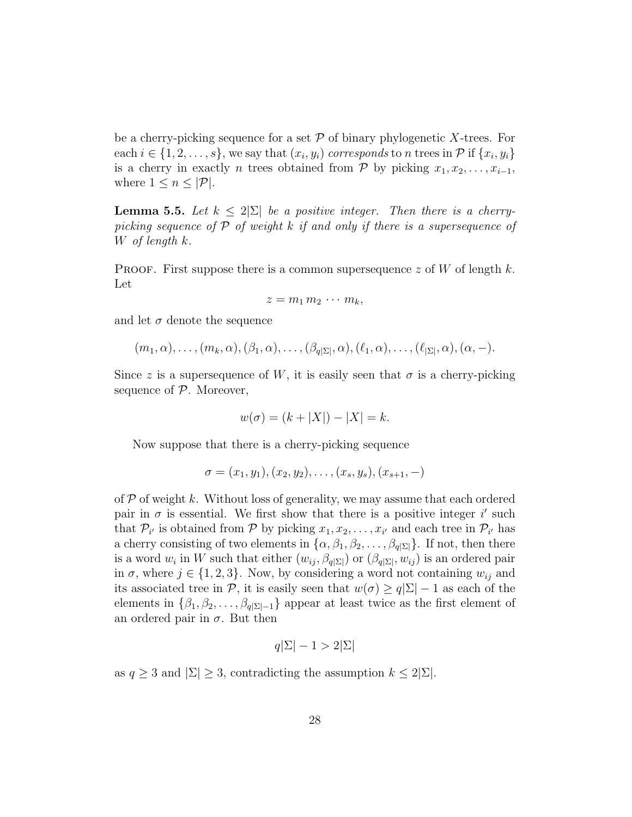be a cherry-picking sequence for a set  $P$  of binary phylogenetic X-trees. For each  $i \in \{1, 2, \ldots, s\}$ , we say that  $(x_i, y_i)$  corresponds to n trees in  $\mathcal{P}$  if  $\{x_i, y_i\}$ is a cherry in exactly *n* trees obtained from  $\mathcal{P}$  by picking  $x_1, x_2, \ldots, x_{i-1}$ , where  $1 \leq n \leq |\mathcal{P}|$ .

<span id="page-27-0"></span>**Lemma 5.5.** Let  $k \leq 2|\Sigma|$  be a positive integer. Then there is a cherrypicking sequence of  $P$  of weight k if and only if there is a supersequence of W of length k.

PROOF. First suppose there is a common supersequence  $z$  of  $W$  of length  $k$ . Let

$$
z=m_1\,m_2\,\cdots\,m_k,
$$

and let  $\sigma$  denote the sequence

$$
(m_1, \alpha), \ldots, (m_k, \alpha), (\beta_1, \alpha), \ldots, (\beta_{q|\Sigma|}, \alpha), (\ell_1, \alpha), \ldots, (\ell_{|\Sigma|}, \alpha), (\alpha, -).
$$

Since z is a supersequence of W, it is easily seen that  $\sigma$  is a cherry-picking sequence of  $P$ . Moreover,

$$
w(\sigma) = (k + |X|) - |X| = k.
$$

Now suppose that there is a cherry-picking sequence

$$
\sigma = (x_1, y_1), (x_2, y_2), \dots, (x_s, y_s), (x_{s+1}, -)
$$

of  $P$  of weight k. Without loss of generality, we may assume that each ordered pair in  $\sigma$  is essential. We first show that there is a positive integer i' such that  $\mathcal{P}_{i'}$  is obtained from  $\mathcal{P}$  by picking  $x_1, x_2, \ldots, x_{i'}$  and each tree in  $\mathcal{P}_{i'}$  has a cherry consisting of two elements in  $\{\alpha, \beta_1, \beta_2, \dots, \beta_{q|\Sigma|}\}\$ . If not, then there is a word  $w_i$  in W such that either  $(w_{ij}, \beta_{q|\Sigma|})$  or  $(\beta_{q|\Sigma|}, w_{ij})$  is an ordered pair in  $\sigma$ , where  $j \in \{1, 2, 3\}$ . Now, by considering a word not containing  $w_{ij}$  and its associated tree in P, it is easily seen that  $w(\sigma) \ge q|\Sigma| - 1$  as each of the elements in  $\{\beta_1, \beta_2, \ldots, \beta_{q|\Sigma|-1}\}\$  appear at least twice as the first element of an ordered pair in  $\sigma$ . But then

$$
q|\Sigma| - 1 > 2|\Sigma|
$$

as  $q \geq 3$  and  $|\Sigma| \geq 3$ , contradicting the assumption  $k \leq 2|\Sigma|$ .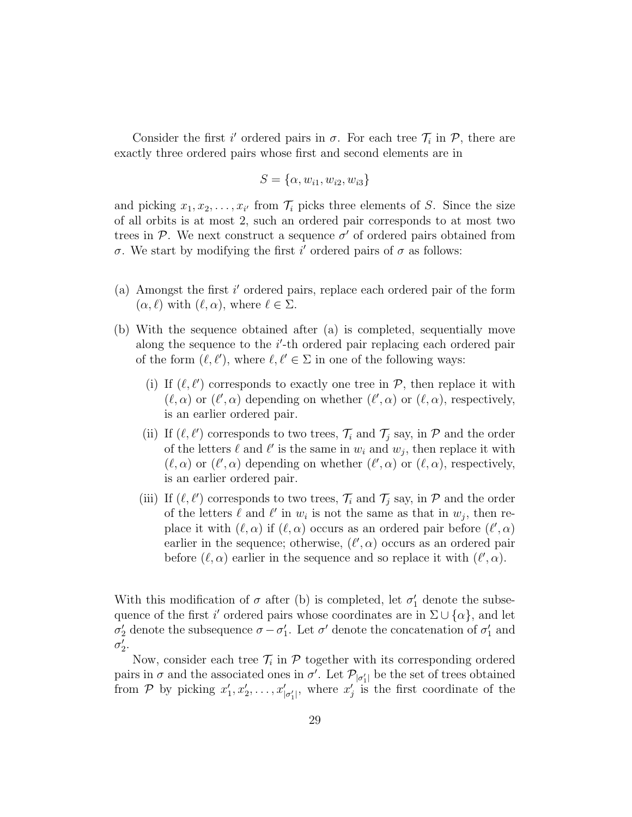Consider the first i' ordered pairs in  $\sigma$ . For each tree  $\mathcal{T}_i$  in  $\mathcal{P}$ , there are exactly three ordered pairs whose first and second elements are in

$$
S = \{\alpha, w_{i1}, w_{i2}, w_{i3}\}\
$$

and picking  $x_1, x_2, \ldots, x_{i'}$  from  $\mathcal{T}_i$  picks three elements of S. Since the size of all orbits is at most 2, such an ordered pair corresponds to at most two trees in  $P$ . We next construct a sequence  $\sigma'$  of ordered pairs obtained from  $\sigma$ . We start by modifying the first i' ordered pairs of  $\sigma$  as follows:

- (a) Amongst the first  $i'$  ordered pairs, replace each ordered pair of the form  $(\alpha, \ell)$  with  $(\ell, \alpha)$ , where  $\ell \in \Sigma$ .
- (b) With the sequence obtained after (a) is completed, sequentially move along the sequence to the  $i'$ -th ordered pair replacing each ordered pair of the form  $(\ell, \ell')$ , where  $\ell, \ell' \in \Sigma$  in one of the following ways:
	- (i) If  $(\ell, \ell')$  corresponds to exactly one tree in  $\mathcal{P}$ , then replace it with  $(\ell, \alpha)$  or  $(\ell', \alpha)$  depending on whether  $(\ell', \alpha)$  or  $(\ell, \alpha)$ , respectively, is an earlier ordered pair.
	- (ii) If  $(\ell, \ell')$  corresponds to two trees,  $\mathcal{T}_i$  and  $\mathcal{T}_j$  say, in  $\mathcal{P}$  and the order of the letters  $\ell$  and  $\ell'$  is the same in  $w_i$  and  $w_j$ , then replace it with  $(\ell, \alpha)$  or  $(\ell', \alpha)$  depending on whether  $(\ell', \alpha)$  or  $(\ell, \alpha)$ , respectively, is an earlier ordered pair.
	- (iii) If  $(\ell, \ell')$  corresponds to two trees,  $\mathcal{T}_i$  and  $\mathcal{T}_j$  say, in  $\mathcal{P}$  and the order of the letters  $\ell$  and  $\ell'$  in  $w_i$  is not the same as that in  $w_j$ , then replace it with  $(\ell, \alpha)$  if  $(\ell, \alpha)$  occurs as an ordered pair before  $(\ell', \alpha)$ earlier in the sequence; otherwise,  $(\ell', \alpha)$  occurs as an ordered pair before  $(\ell, \alpha)$  earlier in the sequence and so replace it with  $(\ell', \alpha)$ .

With this modification of  $\sigma$  after (b) is completed, let  $\sigma'_1$  denote the subsequence of the first i' ordered pairs whose coordinates are in  $\Sigma \cup {\alpha}$ , and let  $\sigma'_2$  denote the subsequence  $\sigma - \sigma'_1$ . Let  $\sigma'$  denote the concatenation of  $\sigma'_1$  and  $\sigma'_2$ .

Now, consider each tree  $\mathcal{T}_i$  in  $\mathcal P$  together with its corresponding ordered pairs in  $\sigma$  and the associated ones in  $\sigma'$ . Let  $\mathcal{P}_{|\sigma_1'|}$  be the set of trees obtained from P by picking  $x'_1, x'_2, \ldots, x'_{|\sigma'_1|}$ , where  $x'_j$  is the first coordinate of the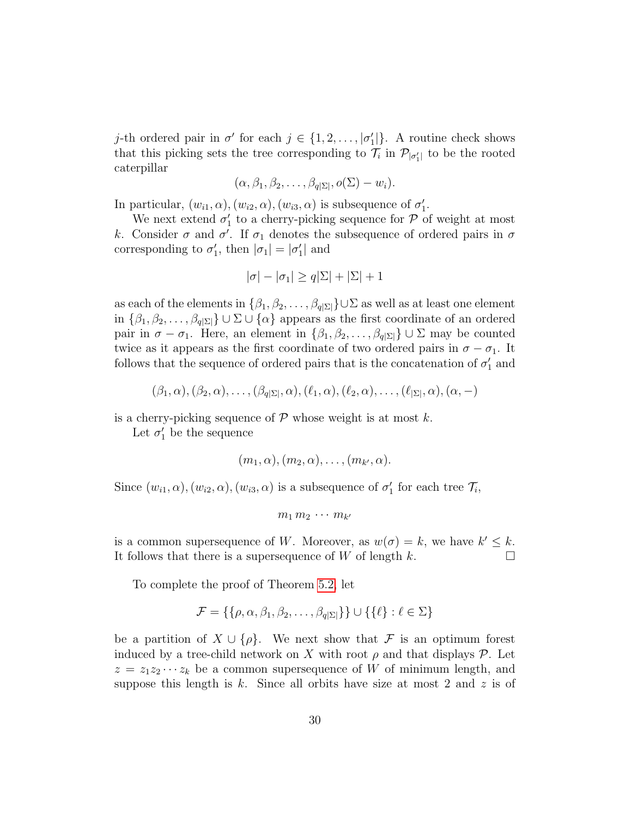j-th ordered pair in  $\sigma'$  for each  $j \in \{1, 2, ..., |\sigma'_1|\}$ . A routine check shows that this picking sets the tree corresponding to  $\mathcal{T}_i$  in  $\mathcal{P}_{|\sigma'_i|}$  to be the rooted caterpillar

$$
(\alpha,\beta_1,\beta_2,\ldots,\beta_{q|\Sigma|},o(\Sigma)-w_i).
$$

In particular,  $(w_{i1}, \alpha), (w_{i2}, \alpha), (w_{i3}, \alpha)$  is subsequence of  $\sigma'_1$ .

We next extend  $\sigma'_1$  to a cherry-picking sequence for  $P$  of weight at most k. Consider  $\sigma$  and  $\sigma'$ . If  $\sigma_1$  denotes the subsequence of ordered pairs in  $\sigma$ corresponding to  $\sigma'_1$ , then  $|\sigma_1| = |\sigma'_1|$  and

$$
|\sigma| - |\sigma_1| \ge q|\Sigma| + |\Sigma| + 1
$$

as each of the elements in  $\{\beta_1, \beta_2, \ldots, \beta_{q|\Sigma|}\}\cup\Sigma$  as well as at least one element in  $\{\beta_1, \beta_2, \ldots, \beta_{q|\Sigma|}\}\cup \Sigma \cup \{\alpha\}$  appears as the first coordinate of an ordered pair in  $\sigma - \sigma_1$ . Here, an element in  $\{\beta_1, \beta_2, \ldots, \beta_{q|\Sigma|}\}\cup \Sigma$  may be counted twice as it appears as the first coordinate of two ordered pairs in  $\sigma - \sigma_1$ . It follows that the sequence of ordered pairs that is the concatenation of  $\sigma'_1$  and

$$
(\beta_1,\alpha),(\beta_2,\alpha),\ldots,(\beta_{q|\Sigma|},\alpha),(\ell_1,\alpha),(\ell_2,\alpha),\ldots,(\ell_{|\Sigma|},\alpha),(\alpha,-)
$$

is a cherry-picking sequence of  $P$  whose weight is at most k.

Let  $\sigma'_1$  be the sequence

$$
(m_1,\alpha), (m_2,\alpha), \ldots, (m_{k'},\alpha).
$$

Since  $(w_{i1}, \alpha), (w_{i2}, \alpha), (w_{i3}, \alpha)$  is a subsequence of  $\sigma'_1$  for each tree  $\mathcal{T}_i$ ,

$$
m_1 m_2 \cdots m_{k'}
$$

is a common supersequence of W. Moreover, as  $w(\sigma) = k$ , we have  $k' \leq k$ . It follows that there is a supersequence of  $W$  of length  $k$ .

To complete the proof of Theorem [5.2,](#page-24-0) let

$$
\mathcal{F} = \{ \{ \rho, \alpha, \beta_1, \beta_2, \dots, \beta_{q|\Sigma|} \} \} \cup \{ \{ \ell \} : \ell \in \Sigma \}
$$

be a partition of  $X \cup \{\rho\}$ . We next show that F is an optimum forest induced by a tree-child network on X with root  $\rho$  and that displays  $\mathcal{P}$ . Let  $z = z_1 z_2 \cdots z_k$  be a common supersequence of W of minimum length, and suppose this length is  $k$ . Since all orbits have size at most 2 and  $z$  is of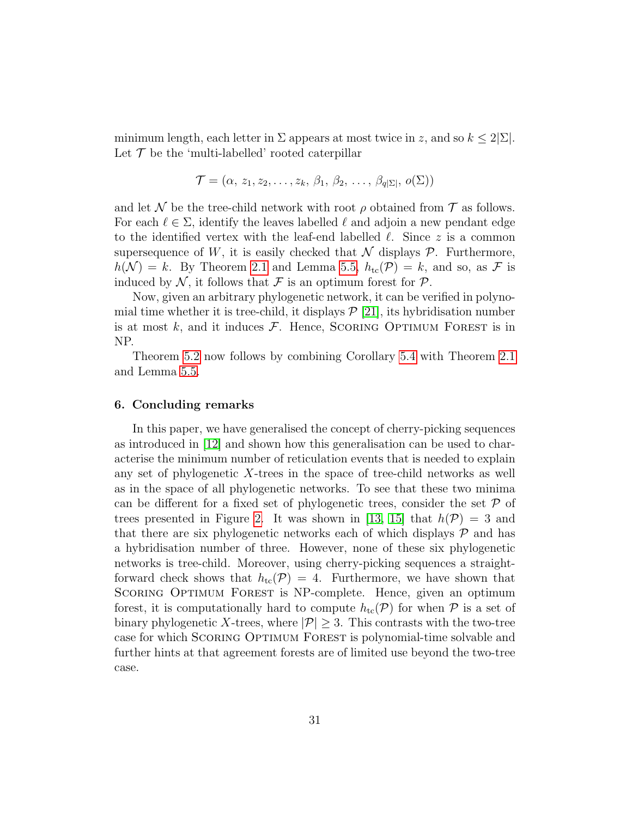minimum length, each letter in  $\Sigma$  appears at most twice in z, and so  $k \leq 2|\Sigma|$ . Let  $\mathcal T$  be the 'multi-labelled' rooted caterpillar

$$
\mathcal{T} = (\alpha, z_1, z_2, \ldots, z_k, \beta_1, \beta_2, \ldots, \beta_{q|\Sigma|}, o(\Sigma))
$$

and let N be the tree-child network with root  $\rho$  obtained from T as follows. For each  $\ell \in \Sigma$ , identify the leaves labelled  $\ell$  and adjoin a new pendant edge to the identified vertex with the leaf-end labelled  $\ell$ . Since z is a common supersequence of W, it is easily checked that  $\mathcal N$  displays  $\mathcal P$ . Furthermore,  $h(\mathcal{N}) = k$ . By Theorem [2.1](#page-9-0) and Lemma [5.5,](#page-27-0)  $h_{\text{tc}}(\mathcal{P}) = k$ , and so, as  $\mathcal F$  is induced by  $\mathcal{N}$ , it follows that  $\mathcal F$  is an optimum forest for  $\mathcal P$ .

Now, given an arbitrary phylogenetic network, it can be verified in polynomial time whether it is tree-child, it displays  $\mathcal{P}$  [\[21\]](#page-34-3), its hybridisation number is at most  $k$ , and it induces  $\mathcal F$ . Hence, SCORING OPTIMUM FOREST is in NP.

Theorem [5.2](#page-24-0) now follows by combining Corollary [5.4](#page-24-2) with Theorem [2.1](#page-9-0) and Lemma [5.5.](#page-27-0)

## <span id="page-30-0"></span>6. Concluding remarks

In this paper, we have generalised the concept of cherry-picking sequences as introduced in [\[12\]](#page-33-3) and shown how this generalisation can be used to characterise the minimum number of reticulation events that is needed to explain any set of phylogenetic X-trees in the space of tree-child networks as well as in the space of all phylogenetic networks. To see that these two minima can be different for a fixed set of phylogenetic trees, consider the set  $\mathcal P$  of trees presented in Figure [2.](#page-11-1) It was shown in [\[13,](#page-33-6) [15\]](#page-33-8) that  $h(\mathcal{P}) = 3$  and that there are six phylogenetic networks each of which displays  $P$  and has a hybridisation number of three. However, none of these six phylogenetic networks is tree-child. Moreover, using cherry-picking sequences a straightforward check shows that  $h_{tc}(\mathcal{P}) = 4$ . Furthermore, we have shown that SCORING OPTIMUM FOREST is NP-complete. Hence, given an optimum forest, it is computationally hard to compute  $h_{tc}(\mathcal{P})$  for when  $\mathcal P$  is a set of binary phylogenetic X-trees, where  $|\mathcal{P}| \geq 3$ . This contrasts with the two-tree case for which Scoring Optimum Forest is polynomial-time solvable and further hints at that agreement forests are of limited use beyond the two-tree case.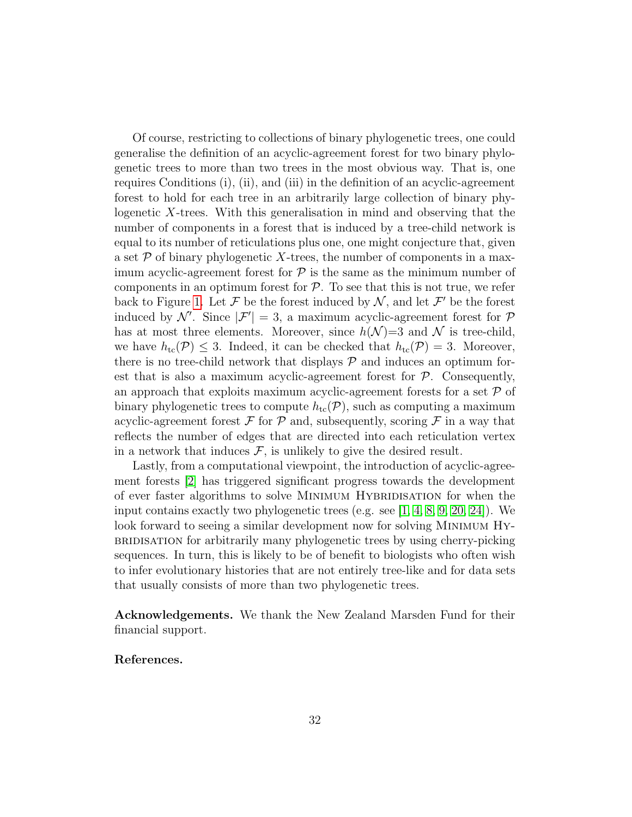Of course, restricting to collections of binary phylogenetic trees, one could generalise the definition of an acyclic-agreement forest for two binary phylogenetic trees to more than two trees in the most obvious way. That is, one requires Conditions (i), (ii), and (iii) in the definition of an acyclic-agreement forest to hold for each tree in an arbitrarily large collection of binary phylogenetic X-trees. With this generalisation in mind and observing that the number of components in a forest that is induced by a tree-child network is equal to its number of reticulations plus one, one might conjecture that, given a set  $P$  of binary phylogenetic X-trees, the number of components in a maximum acyclic-agreement forest for  $P$  is the same as the minimum number of components in an optimum forest for  $P$ . To see that this is not true, we refer back to Figure [1.](#page-5-0) Let F be the forest induced by  $N$ , and let F' be the forest induced by N'. Since  $|\mathcal{F}'| = 3$ , a maximum acyclic-agreement forest for  $\mathcal{P}$ has at most three elements. Moreover, since  $h(\mathcal{N})=3$  and  $\mathcal N$  is tree-child, we have  $h_{\text{tc}}(\mathcal{P}) \leq 3$ . Indeed, it can be checked that  $h_{\text{tc}}(\mathcal{P}) = 3$ . Moreover, there is no tree-child network that displays  $P$  and induces an optimum forest that is also a maximum acyclic-agreement forest for  $P$ . Consequently, an approach that exploits maximum acyclic-agreement forests for a set  $\mathcal P$  of binary phylogenetic trees to compute  $h_{\text{tc}}(\mathcal{P})$ , such as computing a maximum acyclic-agreement forest  $\mathcal F$  for  $\mathcal P$  and, subsequently, scoring  $\mathcal F$  in a way that reflects the number of edges that are directed into each reticulation vertex in a network that induces  $\mathcal{F}$ , is unlikely to give the desired result.

Lastly, from a computational viewpoint, the introduction of acyclic-agreement forests [\[2\]](#page-32-1) has triggered significant progress towards the development of ever faster algorithms to solve Minimum Hybridisation for when the input contains exactly two phylogenetic trees (e.g. see  $[1, 4, 8, 9, 20, 24]$  $[1, 4, 8, 9, 20, 24]$  $[1, 4, 8, 9, 20, 24]$  $[1, 4, 8, 9, 20, 24]$  $[1, 4, 8, 9, 20, 24]$  $[1, 4, 8, 9, 20, 24]$ ). We look forward to seeing a similar development now for solving Minimum Hybridisation for arbitrarily many phylogenetic trees by using cherry-picking sequences. In turn, this is likely to be of benefit to biologists who often wish to infer evolutionary histories that are not entirely tree-like and for data sets that usually consists of more than two phylogenetic trees.

Acknowledgements. We thank the New Zealand Marsden Fund for their financial support.

## References.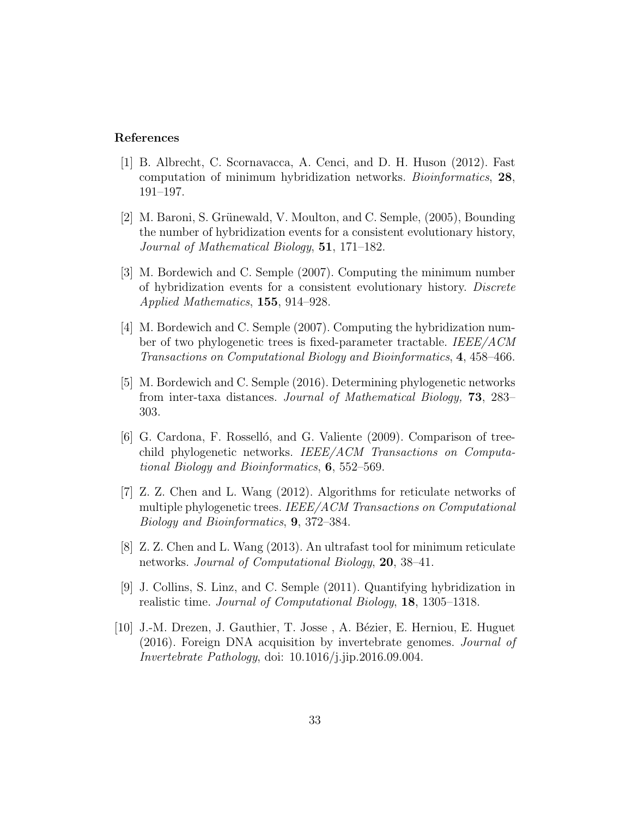## References

- <span id="page-32-2"></span>[1] B. Albrecht, C. Scornavacca, A. Cenci, and D. H. Huson (2012). Fast computation of minimum hybridization networks. Bioinformatics, 28, 191–197.
- <span id="page-32-1"></span>[2] M. Baroni, S. Grünewald, V. Moulton, and C. Semple, (2005), Bounding the number of hybridization events for a consistent evolutionary history, Journal of Mathematical Biology, 51, 171–182.
- <span id="page-32-3"></span>[3] M. Bordewich and C. Semple (2007). Computing the minimum number of hybridization events for a consistent evolutionary history. Discrete Applied Mathematics, 155, 914–928.
- <span id="page-32-4"></span>[4] M. Bordewich and C. Semple (2007). Computing the hybridization number of two phylogenetic trees is fixed-parameter tractable. IEEE/ACM Transactions on Computational Biology and Bioinformatics, 4, 458–466.
- [5] M. Bordewich and C. Semple (2016). Determining phylogenetic networks from inter-taxa distances. Journal of Mathematical Biology, 73, 283– 303.
- <span id="page-32-7"></span>[6] G. Cardona, F. Rosselló, and G. Valiente (2009). Comparison of treechild phylogenetic networks. IEEE/ACM Transactions on Computational Biology and Bioinformatics, 6, 552–569.
- <span id="page-32-6"></span>[7] Z. Z. Chen and L. Wang (2012). Algorithms for reticulate networks of multiple phylogenetic trees. IEEE/ACM Transactions on Computational Biology and Bioinformatics, 9, 372–384.
- <span id="page-32-5"></span>[8] Z. Z. Chen and L. Wang (2013). An ultrafast tool for minimum reticulate networks. Journal of Computational Biology, 20, 38–41.
- <span id="page-32-8"></span>[9] J. Collins, S. Linz, and C. Semple (2011). Quantifying hybridization in realistic time. Journal of Computational Biology, 18, 1305–1318.
- <span id="page-32-0"></span>[10] J.-M. Drezen, J. Gauthier, T. Josse, A. Bézier, E. Herniou, E. Huguet (2016). Foreign DNA acquisition by invertebrate genomes. Journal of Invertebrate Pathology, doi: 10.1016/j.jip.2016.09.004.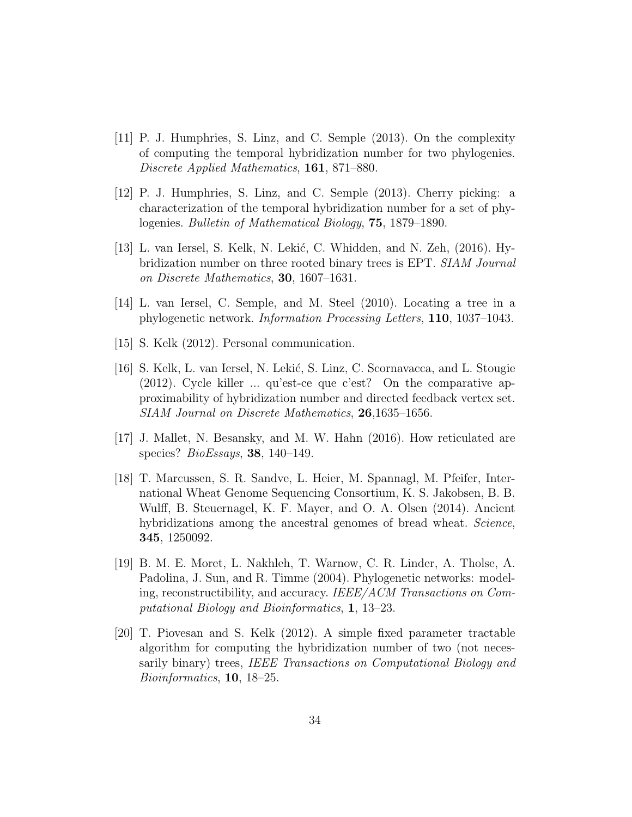- <span id="page-33-5"></span>[11] P. J. Humphries, S. Linz, and C. Semple (2013). On the complexity of computing the temporal hybridization number for two phylogenies. Discrete Applied Mathematics, 161, 871–880.
- <span id="page-33-3"></span>[12] P. J. Humphries, S. Linz, and C. Semple (2013). Cherry picking: a characterization of the temporal hybridization number for a set of phylogenies. Bulletin of Mathematical Biology, 75, 1879–1890.
- <span id="page-33-6"></span>[13] L. van Iersel, S. Kelk, N. Lekić, C. Whidden, and N. Zeh,  $(2016)$ . Hybridization number on three rooted binary trees is EPT. SIAM Journal on Discrete Mathematics, 30, 1607–1631.
- <span id="page-33-7"></span>[14] L. van Iersel, C. Semple, and M. Steel (2010). Locating a tree in a phylogenetic network. Information Processing Letters, 110, 1037–1043.
- <span id="page-33-8"></span>[15] S. Kelk (2012). Personal communication.
- <span id="page-33-2"></span>[16] S. Kelk, L. van Iersel, N. Lekić, S. Linz, C. Scornavacca, and L. Stougie (2012). Cycle killer ... qu'est-ce que c'est? On the comparative approximability of hybridization number and directed feedback vertex set. SIAM Journal on Discrete Mathematics, 26,1635–1656.
- <span id="page-33-0"></span>[17] J. Mallet, N. Besansky, and M. W. Hahn (2016). How reticulated are species? BioEssays, 38, 140–149.
- <span id="page-33-1"></span>[18] T. Marcussen, S. R. Sandve, L. Heier, M. Spannagl, M. Pfeifer, International Wheat Genome Sequencing Consortium, K. S. Jakobsen, B. B. Wulff, B. Steuernagel, K. F. Mayer, and O. A. Olsen (2014). Ancient hybridizations among the ancestral genomes of bread wheat. Science, 345, 1250092.
- <span id="page-33-4"></span>[19] B. M. E. Moret, L. Nakhleh, T. Warnow, C. R. Linder, A. Tholse, A. Padolina, J. Sun, and R. Timme (2004). Phylogenetic networks: modeling, reconstructibility, and accuracy. IEEE/ACM Transactions on Computational Biology and Bioinformatics, 1, 13–23.
- <span id="page-33-9"></span>[20] T. Piovesan and S. Kelk (2012). A simple fixed parameter tractable algorithm for computing the hybridization number of two (not necessarily binary) trees, IEEE Transactions on Computational Biology and Bioinformatics, 10, 18–25.